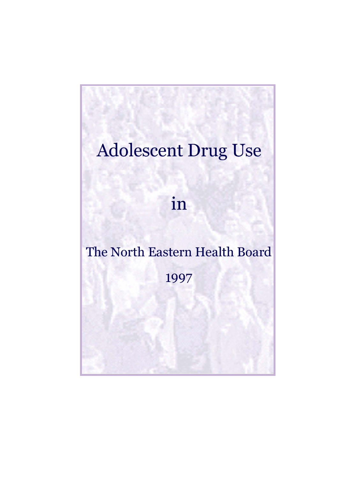# **Adolescent Drug Use**

in

# The North Eastern Health Board

1997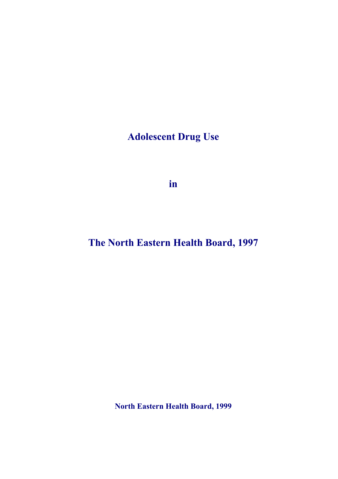**Adolescent Drug Use** 

**in** 

**The North Eastern Health Board, 1997** 

**North Eastern Health Board, 1999**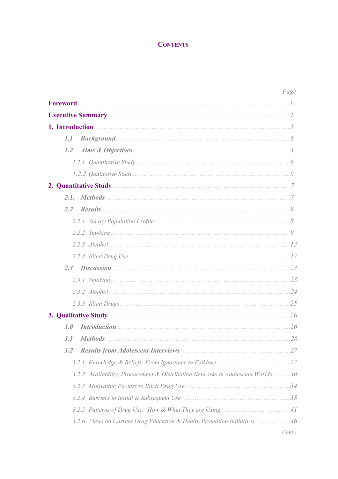# **CONTENTS**

|                                                                                | Page |
|--------------------------------------------------------------------------------|------|
| Foreword.                                                                      |      |
|                                                                                |      |
| 1. Introduction $\ldots$ . $5$                                                 |      |
| 1.1                                                                            |      |
| 1.2                                                                            |      |
|                                                                                |      |
|                                                                                |      |
|                                                                                |      |
| 2.1.                                                                           |      |
| 2,2                                                                            |      |
|                                                                                |      |
|                                                                                |      |
|                                                                                |      |
|                                                                                |      |
|                                                                                |      |
|                                                                                |      |
|                                                                                |      |
|                                                                                |      |
| 3. Qualitative Study                                                           |      |
| 3.0                                                                            | .26  |
| 3.1                                                                            |      |
| 3.2                                                                            |      |
|                                                                                |      |
| 3.2.2 Availability, Procurement & Distribution Networks in Adolescent Worlds30 |      |
|                                                                                |      |
|                                                                                |      |
|                                                                                |      |
| 3.2.6 Views on Current Drug Education & Health Promotion Initiatives46         |      |
|                                                                                | Cont |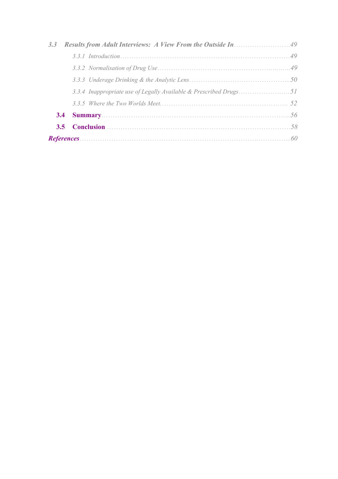|  | 49  |
|--|-----|
|  |     |
|  | 50  |
|  |     |
|  | 52  |
|  | 56  |
|  | .58 |
|  | 60  |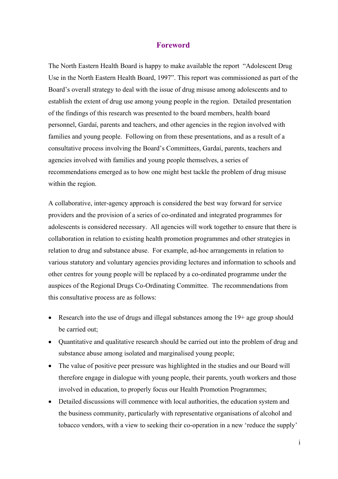## **Foreword**

The North Eastern Health Board is happy to make available the report "Adolescent Drug Use in the North Eastern Health Board, 1997". This report was commissioned as part of the Board's overall strategy to deal with the issue of drug misuse among adolescents and to establish the extent of drug use among young people in the region. Detailed presentation of the findings of this research was presented to the board members, health board personnel, Gardaí, parents and teachers, and other agencies in the region involved with families and young people. Following on from these presentations, and as a result of a consultative process involving the Board's Committees, Gardaí, parents, teachers and agencies involved with families and young people themselves, a series of recommendations emerged as to how one might best tackle the problem of drug misuse within the region.

A collaborative, inter-agency approach is considered the best way forward for service providers and the provision of a series of co-ordinated and integrated programmes for adolescents is considered necessary. All agencies will work together to ensure that there is collaboration in relation to existing health promotion programmes and other strategies in relation to drug and substance abuse. For example, ad-hoc arrangements in relation to various statutory and voluntary agencies providing lectures and information to schools and other centres for young people will be replaced by a co-ordinated programme under the auspices of the Regional Drugs Co-Ordinating Committee. The recommendations from this consultative process are as follows:

- Research into the use of drugs and illegal substances among the 19+ age group should be carried out;
- Quantitative and qualitative research should be carried out into the problem of drug and substance abuse among isolated and marginalised young people;
- The value of positive peer pressure was highlighted in the studies and our Board will therefore engage in dialogue with young people, their parents, youth workers and those involved in education, to properly focus our Health Promotion Programmes;
- Detailed discussions will commence with local authorities, the education system and the business community, particularly with representative organisations of alcohol and tobacco vendors, with a view to seeking their co-operation in a new 'reduce the supply'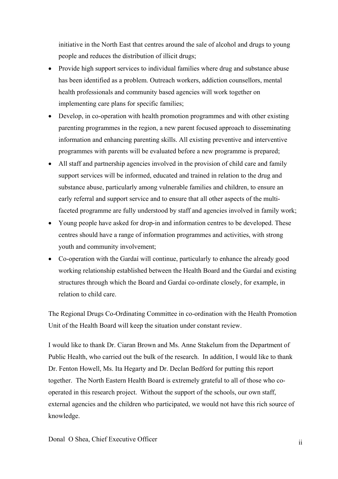initiative in the North East that centres around the sale of alcohol and drugs to young people and reduces the distribution of illicit drugs;

- Provide high support services to individual families where drug and substance abuse has been identified as a problem. Outreach workers, addiction counsellors, mental health professionals and community based agencies will work together on implementing care plans for specific families;
- Develop, in co-operation with health promotion programmes and with other existing parenting programmes in the region, a new parent focused approach to disseminating information and enhancing parenting skills. All existing preventive and interventive programmes with parents will be evaluated before a new programme is prepared;
- All staff and partnership agencies involved in the provision of child care and family support services will be informed, educated and trained in relation to the drug and substance abuse, particularly among vulnerable families and children, to ensure an early referral and support service and to ensure that all other aspects of the multifaceted programme are fully understood by staff and agencies involved in family work;
- Young people have asked for drop-in and information centres to be developed. These centres should have a range of information programmes and activities, with strong youth and community involvement;
- Co-operation with the Gardaí will continue, particularly to enhance the already good working relationship established between the Health Board and the Gardaí and existing structures through which the Board and Gardaí co-ordinate closely, for example, in relation to child care.

The Regional Drugs Co-Ordinating Committee in co-ordination with the Health Promotion Unit of the Health Board will keep the situation under constant review.

I would like to thank Dr. Ciaran Brown and Ms. Anne Stakelum from the Department of Public Health, who carried out the bulk of the research. In addition, I would like to thank Dr. Fenton Howell, Ms. Ita Hegarty and Dr. Declan Bedford for putting this report together. The North Eastern Health Board is extremely grateful to all of those who cooperated in this research project. Without the support of the schools, our own staff, external agencies and the children who participated, we would not have this rich source of knowledge.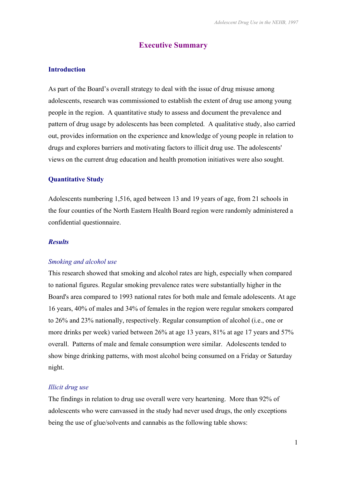# **Executive Summary**

#### **Introduction**

As part of the Board's overall strategy to deal with the issue of drug misuse among adolescents, research was commissioned to establish the extent of drug use among young people in the region. A quantitative study to assess and document the prevalence and pattern of drug usage by adolescents has been completed. A qualitative study, also carried out, provides information on the experience and knowledge of young people in relation to drugs and explores barriers and motivating factors to illicit drug use. The adolescents' views on the current drug education and health promotion initiatives were also sought.

#### **Quantitative Study**

Adolescents numbering 1,516, aged between 13 and 19 years of age, from 21 schools in the four counties of the North Eastern Health Board region were randomly administered a confidential questionnaire.

#### *Results*

#### *Smoking and alcohol use*

This research showed that smoking and alcohol rates are high, especially when compared to national figures. Regular smoking prevalence rates were substantially higher in the Board's area compared to 1993 national rates for both male and female adolescents. At age 16 years, 40% of males and 34% of females in the region were regular smokers compared to 26% and 23% nationally, respectively. Regular consumption of alcohol (i.e., one or more drinks per week) varied between 26% at age 13 years, 81% at age 17 years and 57% overall. Patterns of male and female consumption were similar. Adolescents tended to show binge drinking patterns, with most alcohol being consumed on a Friday or Saturday night.

#### *Illicit drug use*

The findings in relation to drug use overall were very heartening. More than 92% of adolescents who were canvassed in the study had never used drugs, the only exceptions being the use of glue/solvents and cannabis as the following table shows: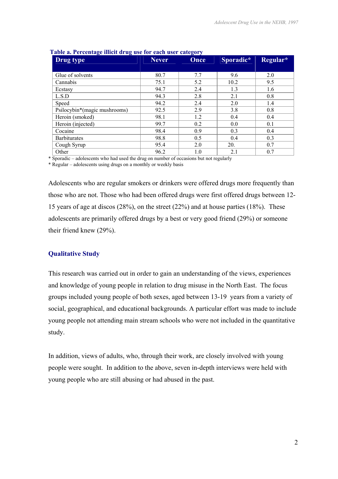| Drug type                    | <b>Never</b> | Once | Sporadic* | Regular* |
|------------------------------|--------------|------|-----------|----------|
|                              |              |      |           |          |
| Glue of solvents             | 80.7         | 7.7  | 9.6       | 2.0      |
| Cannabis                     | 75.1         | 5.2  | 10.2      | 9.5      |
| Ecstasy                      | 94.7         | 2.4  | 1.3       | 1.6      |
| L.S.D                        | 94.3         | 2.8  | 2.1       | 0.8      |
| Speed                        | 94.2         | 2.4  | 2.0       | 1.4      |
| Psilocybin*(magic mushrooms) | 92.5         | 2.9  | 3.8       | 0.8      |
| Heroin (smoked)              | 98.1         | 1.2  | 0.4       | 0.4      |
| Heroin (injected)            | 99.7         | 0.2  | 0.0       | 0.1      |
| Cocaine                      | 98.4         | 0.9  | 0.3       | 0.4      |
| <b>Barbiturates</b>          | 98.8         | 0.5  | 0.4       | 0.3      |
| Cough Syrup                  | 95.4         | 2.0  | 20.       | 0.7      |
| Other                        | 96.2         | 1.0  | 2.1       | 0.7      |

#### **Table a. Percentage illicit drug use for each user category**

\* Sporadic – adolescents who had used the drug on number of occasions but not regularly

\* Regular – adolescents using drugs on a monthly or weekly basis

Adolescents who are regular smokers or drinkers were offered drugs more frequently than those who are not. Those who had been offered drugs were first offered drugs between 12- 15 years of age at discos (28%), on the street (22%) and at house parties (18%). These adolescents are primarily offered drugs by a best or very good friend (29%) or someone their friend knew (29%).

#### **Qualitative Study**

This research was carried out in order to gain an understanding of the views, experiences and knowledge of young people in relation to drug misuse in the North East. The focus groups included young people of both sexes, aged between 13-19 years from a variety of social, geographical, and educational backgrounds. A particular effort was made to include young people not attending main stream schools who were not included in the quantitative study.

In addition, views of adults, who, through their work, are closely involved with young people were sought. In addition to the above, seven in-depth interviews were held with young people who are still abusing or had abused in the past.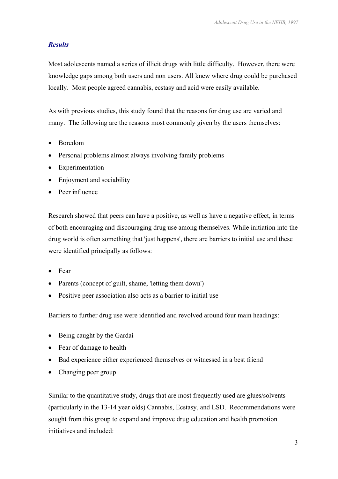# *Results*

Most adolescents named a series of illicit drugs with little difficulty. However, there were knowledge gaps among both users and non users. All knew where drug could be purchased locally. Most people agreed cannabis, ecstasy and acid were easily available.

As with previous studies, this study found that the reasons for drug use are varied and many. The following are the reasons most commonly given by the users themselves:

- Boredom
- Personal problems almost always involving family problems
- Experimentation
- Enjoyment and sociability
- Peer influence

Research showed that peers can have a positive, as well as have a negative effect, in terms of both encouraging and discouraging drug use among themselves. While initiation into the drug world is often something that 'just happens', there are barriers to initial use and these were identified principally as follows:

- Fear
- Parents (concept of guilt, shame, 'letting them down')
- Positive peer association also acts as a barrier to initial use

Barriers to further drug use were identified and revolved around four main headings:

- Being caught by the Gardaí
- Fear of damage to health
- Bad experience either experienced themselves or witnessed in a best friend
- Changing peer group

Similar to the quantitative study, drugs that are most frequently used are glues/solvents (particularly in the 13-14 year olds) Cannabis, Ecstasy, and LSD. Recommendations were sought from this group to expand and improve drug education and health promotion initiatives and included: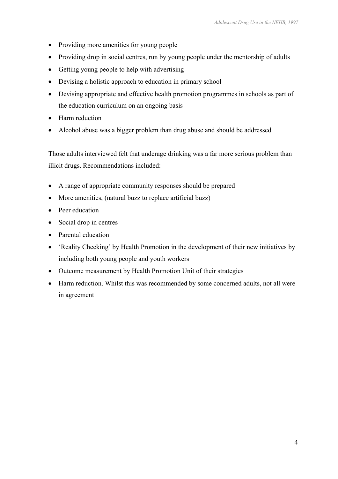- Providing more amenities for young people
- Providing drop in social centres, run by young people under the mentorship of adults
- Getting young people to help with advertising
- Devising a holistic approach to education in primary school
- Devising appropriate and effective health promotion programmes in schools as part of the education curriculum on an ongoing basis
- Harm reduction
- Alcohol abuse was a bigger problem than drug abuse and should be addressed

Those adults interviewed felt that underage drinking was a far more serious problem than illicit drugs. Recommendations included:

- A range of appropriate community responses should be prepared
- More amenities, (natural buzz to replace artificial buzz)
- Peer education
- Social drop in centres
- Parental education
- 'Reality Checking' by Health Promotion in the development of their new initiatives by including both young people and youth workers
- Outcome measurement by Health Promotion Unit of their strategies
- Harm reduction. Whilst this was recommended by some concerned adults, not all were in agreement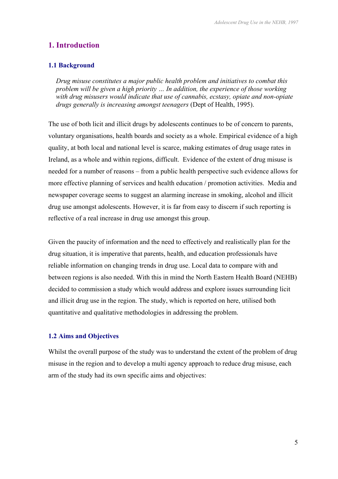# **1. Introduction**

#### **1.1 Background**

*Drug misuse constitutes a major public health problem and initiatives to combat this problem will be given a high priority … In addition, the experience of those working with drug misusers would indicate that use of cannabis, ecstasy, opiate and non-opiate drugs generally is increasing amongst teenagers* (Dept of Health, 1995).

The use of both licit and illicit drugs by adolescents continues to be of concern to parents, voluntary organisations, health boards and society as a whole. Empirical evidence of a high quality, at both local and national level is scarce, making estimates of drug usage rates in Ireland, as a whole and within regions, difficult. Evidence of the extent of drug misuse is needed for a number of reasons – from a public health perspective such evidence allows for more effective planning of services and health education / promotion activities. Media and newspaper coverage seems to suggest an alarming increase in smoking, alcohol and illicit drug use amongst adolescents. However, it is far from easy to discern if such reporting is reflective of a real increase in drug use amongst this group.

Given the paucity of information and the need to effectively and realistically plan for the drug situation, it is imperative that parents, health, and education professionals have reliable information on changing trends in drug use. Local data to compare with and between regions is also needed. With this in mind the North Eastern Health Board (NEHB) decided to commission a study which would address and explore issues surrounding licit and illicit drug use in the region. The study, which is reported on here, utilised both quantitative and qualitative methodologies in addressing the problem.

#### **1.2 Aims and Objectives**

Whilst the overall purpose of the study was to understand the extent of the problem of drug misuse in the region and to develop a multi agency approach to reduce drug misuse, each arm of the study had its own specific aims and objectives: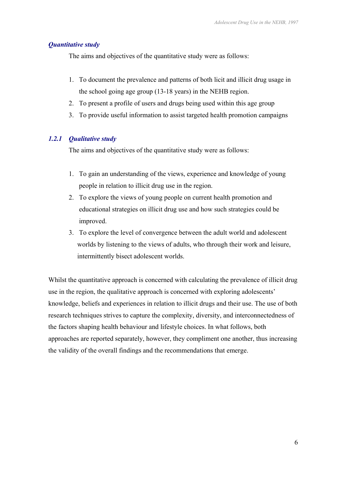#### *Quantitative study*

The aims and objectives of the quantitative study were as follows:

- 1. To document the prevalence and patterns of both licit and illicit drug usage in the school going age group (13-18 years) in the NEHB region.
- 2. To present a profile of users and drugs being used within this age group
- 3. To provide useful information to assist targeted health promotion campaigns

#### *1.2.1 Qualitative study*

The aims and objectives of the quantitative study were as follows:

- 1. To gain an understanding of the views, experience and knowledge of young people in relation to illicit drug use in the region.
- 2. To explore the views of young people on current health promotion and educational strategies on illicit drug use and how such strategies could be improved.
- 3. To explore the level of convergence between the adult world and adolescent worlds by listening to the views of adults, who through their work and leisure, intermittently bisect adolescent worlds.

Whilst the quantitative approach is concerned with calculating the prevalence of illicit drug use in the region, the qualitative approach is concerned with exploring adolescents' knowledge, beliefs and experiences in relation to illicit drugs and their use. The use of both research techniques strives to capture the complexity, diversity, and interconnectedness of the factors shaping health behaviour and lifestyle choices. In what follows, both approaches are reported separately, however, they compliment one another, thus increasing the validity of the overall findings and the recommendations that emerge.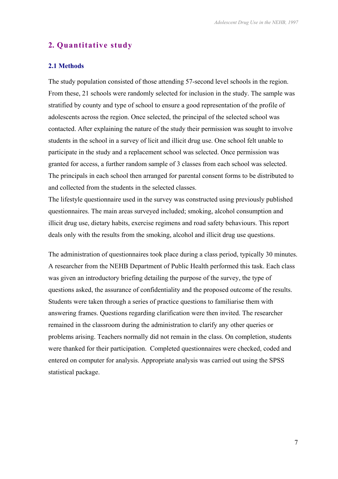# **2. Quantitative study**

#### **2.1 Methods**

The study population consisted of those attending 57-second level schools in the region. From these, 21 schools were randomly selected for inclusion in the study. The sample was stratified by county and type of school to ensure a good representation of the profile of adolescents across the region. Once selected, the principal of the selected school was contacted. After explaining the nature of the study their permission was sought to involve students in the school in a survey of licit and illicit drug use. One school felt unable to participate in the study and a replacement school was selected. Once permission was granted for access, a further random sample of 3 classes from each school was selected. The principals in each school then arranged for parental consent forms to be distributed to and collected from the students in the selected classes.

The lifestyle questionnaire used in the survey was constructed using previously published questionnaires. The main areas surveyed included; smoking, alcohol consumption and illicit drug use, dietary habits, exercise regimens and road safety behaviours. This report deals only with the results from the smoking, alcohol and illicit drug use questions.

The administration of questionnaires took place during a class period, typically 30 minutes. A researcher from the NEHB Department of Public Health performed this task. Each class was given an introductory briefing detailing the purpose of the survey, the type of questions asked, the assurance of confidentiality and the proposed outcome of the results. Students were taken through a series of practice questions to familiarise them with answering frames. Questions regarding clarification were then invited. The researcher remained in the classroom during the administration to clarify any other queries or problems arising. Teachers normally did not remain in the class. On completion, students were thanked for their participation. Completed questionnaires were checked, coded and entered on computer for analysis. Appropriate analysis was carried out using the SPSS statistical package.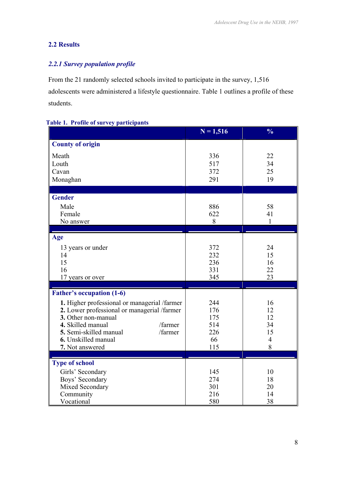# **2.2 Results**

# *2.2.1 Survey population profile*

From the 21 randomly selected schools invited to participate in the survey, 1,516 adolescents were administered a lifestyle questionnaire. Table 1 outlines a profile of these students.

|  |  | <b>Table 1. Profile of survey participants</b> |
|--|--|------------------------------------------------|
|  |  |                                                |

|                                              | $N = 1,516$ | $\frac{0}{0}$  |
|----------------------------------------------|-------------|----------------|
| <b>County of origin</b>                      |             |                |
| Meath                                        | 336         | 22             |
| Louth                                        | 517         | 34             |
| Cavan                                        | 372         | 25             |
| Monaghan                                     | 291         | 19             |
| <b>Gender</b>                                |             |                |
|                                              |             |                |
| Male<br>Female                               | 886<br>622  | 58<br>41       |
| No answer                                    | 8           | $\mathbf{1}$   |
|                                              |             |                |
| Age                                          |             |                |
| 13 years or under                            | 372         | 24             |
| 14                                           | 232         | 15             |
| 15                                           | 236         | 16             |
| 16                                           | 331         | 22             |
| 17 years or over                             | 345         | 23             |
| <b>Father's occupation (1-6)</b>             |             |                |
| 1. Higher professional or managerial /farmer | 244         | 16             |
| 2. Lower professional or managerial /farmer  | 176         | 12             |
| 3. Other non-manual                          | 175         | 12             |
| 4. Skilled manual<br>/farmer                 | 514         | 34             |
| 5. Semi-skilled manual<br>/farmer            | 226         | 15             |
| 6. Unskilled manual                          | 66          | $\overline{4}$ |
| 7. Not answered                              | 115         | 8              |
| <b>Type of school</b>                        |             |                |
| Girls' Secondary                             | 145         | 10             |
| Boys' Secondary                              | 274         | 18             |
| Mixed Secondary                              | 301         | 20             |
| Community                                    | 216         | 14             |
| Vocational                                   | 580         | 38             |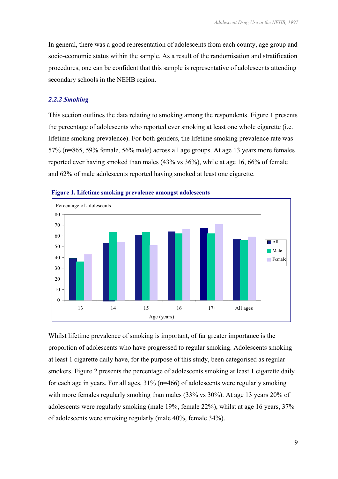In general, there was a good representation of adolescents from each county, age group and socio-economic status within the sample. As a result of the randomisation and stratification procedures, one can be confident that this sample is representative of adolescents attending secondary schools in the NEHB region.

#### *2.2.2 Smoking*

This section outlines the data relating to smoking among the respondents. Figure 1 presents the percentage of adolescents who reported ever smoking at least one whole cigarette (i.e. lifetime smoking prevalence). For both genders, the lifetime smoking prevalence rate was 57% (n=865, 59% female, 56% male) across all age groups. At age 13 years more females reported ever having smoked than males (43% vs 36%), while at age 16, 66% of female and 62% of male adolescents reported having smoked at least one cigarette.





Whilst lifetime prevalence of smoking is important, of far greater importance is the proportion of adolescents who have progressed to regular smoking. Adolescents smoking at least 1 cigarette daily have, for the purpose of this study, been categorised as regular smokers. Figure 2 presents the percentage of adolescents smoking at least 1 cigarette daily for each age in years. For all ages, 31% (n=466) of adolescents were regularly smoking with more females regularly smoking than males (33% vs 30%). At age 13 years 20% of adolescents were regularly smoking (male 19%, female 22%), whilst at age 16 years, 37% of adolescents were smoking regularly (male 40%, female 34%).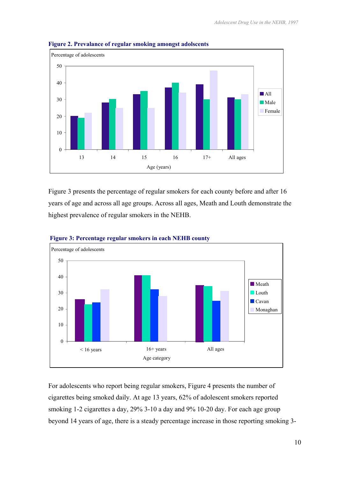

**Figure 2. Prevalance of regular smoking amongst adolscents** 

Figure 3 presents the percentage of regular smokers for each county before and after 16 years of age and across all age groups. Across all ages, Meath and Louth demonstrate the highest prevalence of regular smokers in the NEHB.





For adolescents who report being regular smokers, Figure 4 presents the number of cigarettes being smoked daily. At age 13 years, 62% of adolescent smokers reported smoking 1-2 cigarettes a day, 29% 3-10 a day and 9% 10-20 day. For each age group beyond 14 years of age, there is a steady percentage increase in those reporting smoking 3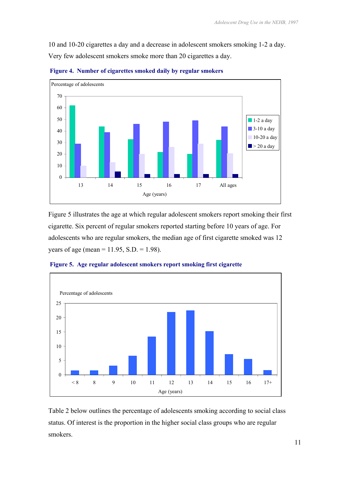10 and 10-20 cigarettes a day and a decrease in adolescent smokers smoking 1-2 a day. Very few adolescent smokers smoke more than 20 cigarettes a day.



 **Figure 4. Number of cigarettes smoked daily by regular smokers** 

Figure 5 illustrates the age at which regular adolescent smokers report smoking their first cigarette. Six percent of regular smokers reported starting before 10 years of age. For adolescents who are regular smokers, the median age of first cigarette smoked was 12 years of age (mean =  $11.95$ , S.D. =  $1.98$ ).



 **Figure 5. Age regular adolescent smokers report smoking first cigarette** 

Table 2 below outlines the percentage of adolescents smoking according to social class status. Of interest is the proportion in the higher social class groups who are regular smokers.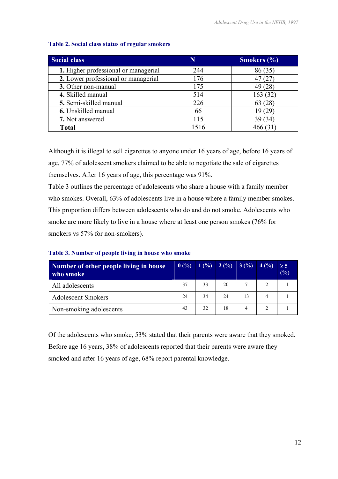| <b>Social class</b>                  | N    | <b>Smokers</b> $(\% )$ |
|--------------------------------------|------|------------------------|
| 1. Higher professional or managerial | 244  | 86 (35)                |
| 2. Lower professional or managerial  | 176  |                        |
| 3. Other non-manual                  | 175  | 49 (28)                |
| 4. Skilled manual                    | 514  | 163(32)                |
| 5. Semi-skilled manual               | 226  | 63(28)                 |
| 6. Unskilled manual                  | 66   | 19(29)                 |
| 7. Not answered                      | 115  | 39 (34)                |
| <b>Total</b>                         | 1516 | 466 (31)               |

#### **Table 2. Social class status of regular smokers**

Although it is illegal to sell cigarettes to anyone under 16 years of age, before 16 years of age, 77% of adolescent smokers claimed to be able to negotiate the sale of cigarettes themselves. After 16 years of age, this percentage was 91%.

Table 3 outlines the percentage of adolescents who share a house with a family member who smokes. Overall, 63% of adolescents live in a house where a family member smokes. This proportion differs between adolescents who do and do not smoke. Adolescents who smoke are more likely to live in a house where at least one person smokes (76% for smokers vs 57% for non-smokers).

| Number of other people living in house<br>who smoke | 0(%) | 1 (%) 2 (%) 3 (%) 4 (%) |    |    |   | $\geq$ 5<br>(%) |
|-----------------------------------------------------|------|-------------------------|----|----|---|-----------------|
| All adolescents                                     | 37   | 33                      | 20 |    | 2 |                 |
| <b>Adolescent Smokers</b>                           | 24   | 34                      | 24 | 13 | 4 |                 |
| Non-smoking adolescents                             | 43   | 32                      | 18 | 4  |   |                 |

#### **Table 3. Number of people living in house who smoke**

Of the adolescents who smoke, 53% stated that their parents were aware that they smoked. Before age 16 years, 38% of adolescents reported that their parents were aware they smoked and after 16 years of age, 68% report parental knowledge.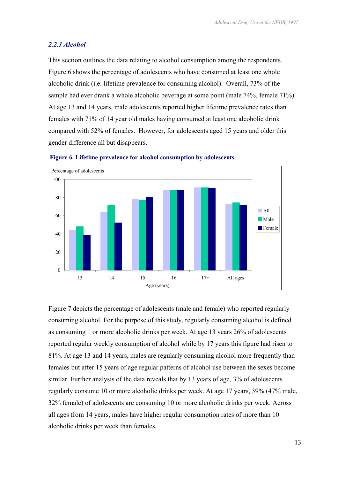#### *2.2.3 Alcohol*

This section outlines the data relating to alcohol consumption among the respondents. Figure 6 shows the percentage of adolescents who have consumed at least one whole alcoholic drink (i.e. lifetime prevalence for consuming alcohol). Overall, 73% of the sample had ever drank a whole alcoholic beverage at some point (male 74%, female 71%). At age 13 and 14 years, male adolescents reported higher lifetime prevalence rates than females with 71% of 14 year old males having consumed at least one alcoholic drink compared with 52% of females. However, for adolescents aged 15 years and older this gender difference all but disappears.





Figure 7 depicts the percentage of adolescents (male and female) who reported regularly consuming alcohol. For the purpose of this study, regularly consuming alcohol is defined as consuming 1 or more alcoholic drinks per week. At age 13 years 26% of adolescents reported regular weekly consumption of alcohol while by 17 years this figure had risen to 81%. At age 13 and 14 years, males are regularly consuming alcohol more frequently than females but after 15 years of age regular patterns of alcohol use between the sexes become similar. Further analysis of the data reveals that by 13 years of age, 3% of adolescents regularly consume 10 or more alcoholic drinks per week. At age 17 years, 39% (47% male, 32% female) of adolescents are consuming 10 or more alcoholic drinks per week. Across all ages from 14 years, males have higher regular consumption rates of more than 10 alcoholic drinks per week than females.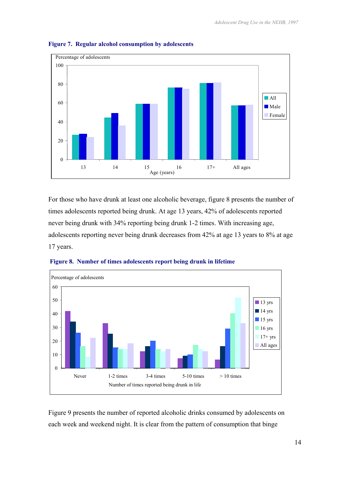

#### **Figure 7. Regular alcohol consumption by adolescents**

For those who have drunk at least one alcoholic beverage, figure 8 presents the number of times adolescents reported being drunk. At age 13 years, 42% of adolescents reported never being drunk with 34% reporting being drunk 1-2 times. With increasing age, adolescents reporting never being drunk decreases from 42% at age 13 years to 8% at age 17 years.





Figure 9 presents the number of reported alcoholic drinks consumed by adolescents on each week and weekend night. It is clear from the pattern of consumption that binge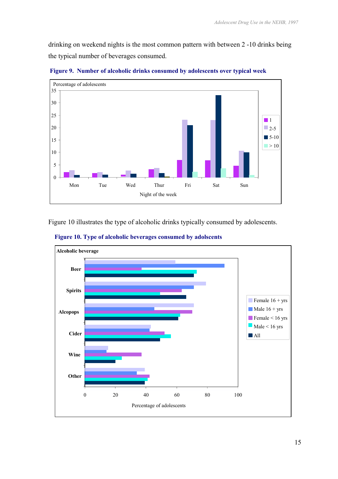drinking on weekend nights is the most common pattern with between 2 -10 drinks being the typical number of beverages consumed.



 **Figure 9. Number of alcoholic drinks consumed by adolescents over typical week** 

Figure 10 illustrates the type of alcoholic drinks typically consumed by adolescents.



 **Figure 10. Type of alcoholic beverages consumed by adolscents**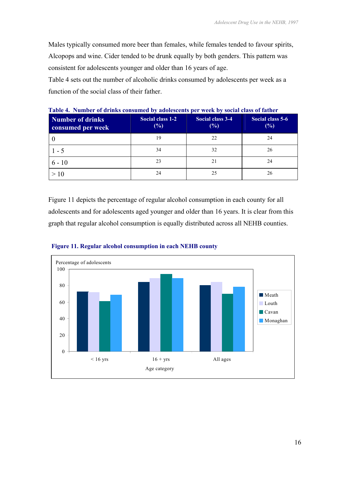Males typically consumed more beer than females, while females tended to favour spirits, Alcopops and wine. Cider tended to be drunk equally by both genders. This pattern was consistent for adolescents younger and older than 16 years of age.

Table 4 sets out the number of alcoholic drinks consumed by adolescents per week as a function of the social class of their father.

| <b>Number of drinks</b><br>consumed per week | Social class 1-2<br>$(\%)$ | Social class 3-4<br>$(\%)$ | Social class 5-6<br>(%) |
|----------------------------------------------|----------------------------|----------------------------|-------------------------|
|                                              | 19                         | 22                         | 24                      |
| 1 - 5                                        | 34                         | 32                         | 26                      |
| $6 - 10$                                     | 23                         | 21                         | 24                      |
|                                              | 24                         | 25                         | 26                      |

**Table 4. Number of drinks consumed by adolescents per week by social class of father**

Figure 11 depicts the percentage of regular alcohol consumption in each county for all adolescents and for adolescents aged younger and older than 16 years. It is clear from this graph that regular alcohol consumption is equally distributed across all NEHB counties.



 **Figure 11. Regular alcohol consumption in each NEHB county**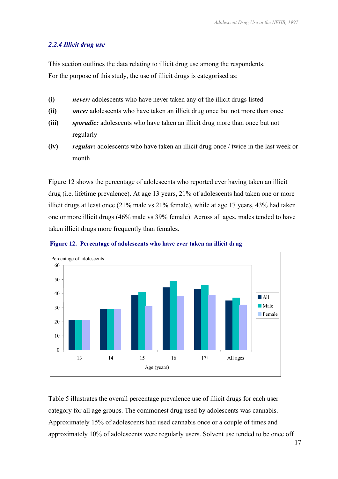#### *2.2.4 Illicit drug use*

This section outlines the data relating to illicit drug use among the respondents. For the purpose of this study, the use of illicit drugs is categorised as:

- **(i)** *never:* adolescents who have never taken any of the illicit drugs listed
- **(ii)** *once:* adolescents who have taken an illicit drug once but not more than once
- **(iii)** *sporadic:* adolescents who have taken an illicit drug more than once but not regularly
- **(iv)** *regular:* adolescents who have taken an illicit drug once / twice in the last week or month

Figure 12 shows the percentage of adolescents who reported ever having taken an illicit drug (i.e. lifetime prevalence). At age 13 years, 21% of adolescents had taken one or more illicit drugs at least once (21% male vs 21% female), while at age 17 years, 43% had taken one or more illicit drugs (46% male vs 39% female). Across all ages, males tended to have taken illicit drugs more frequently than females.



 **Figure 12. Percentage of adolescents who have ever taken an illicit drug** 

Table 5 illustrates the overall percentage prevalence use of illicit drugs for each user category for all age groups. The commonest drug used by adolescents was cannabis. Approximately 15% of adolescents had used cannabis once or a couple of times and approximately 10% of adolescents were regularly users. Solvent use tended to be once off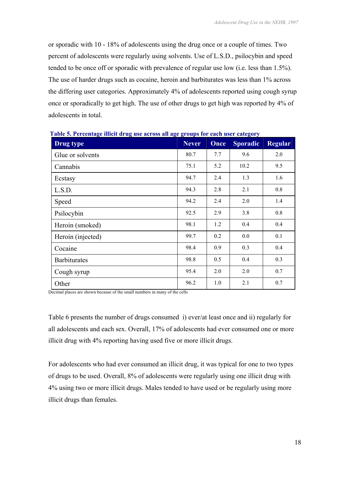or sporadic with 10 - 18% of adolescents using the drug once or a couple of times. Two percent of adolescents were regularly using solvents. Use of L.S.D., psilocybin and speed tended to be once off or sporadic with prevalence of regular use low (i.e. less than 1.5%). The use of harder drugs such as cocaine, heroin and barbiturates was less than 1% across the differing user categories. Approximately 4% of adolescents reported using cough syrup once or sporadically to get high. The use of other drugs to get high was reported by 4% of adolescents in total.

| Table 5. I creentage linen urug use across an age groups for each user category |              |             |                 |                |  |
|---------------------------------------------------------------------------------|--------------|-------------|-----------------|----------------|--|
| Drug type                                                                       | <b>Never</b> | <b>Once</b> | <b>Sporadic</b> | <b>Regular</b> |  |
| Glue or solvents                                                                | 80.7         | 7.7         | 9.6             | 2.0            |  |
| Cannabis                                                                        | 75.1         | 5.2         | 10.2            | 9.5            |  |
| Ecstasy                                                                         | 94.7         | 2.4         | 1.3             | 1.6            |  |
| L.S.D.                                                                          | 94.3         | 2.8         | 2.1             | 0.8            |  |
| Speed                                                                           | 94.2         | 2.4         | 2.0             | 1.4            |  |
| Psilocybin                                                                      | 92.5         | 2.9         | 3.8             | 0.8            |  |
| Heroin (smoked)                                                                 | 98.1         | 1.2         | 0.4             | 0.4            |  |
| Heroin (injected)                                                               | 99.7         | 0.2         | 0.0             | 0.1            |  |
| Cocaine                                                                         | 98.4         | 0.9         | 0.3             | 0.4            |  |
| <b>Barbiturates</b>                                                             | 98.8         | 0.5         | 0.4             | 0.3            |  |
| Cough syrup                                                                     | 95.4         | 2.0         | 2.0             | 0.7            |  |
| Other                                                                           | 96.2         | 1.0         | 2.1             | 0.7            |  |

 **Table 5. Percentage illicit drug use across all age groups for each user category** 

Decimal places are shown because of the small numbers in many of the cells

Table 6 presents the number of drugs consumed i) ever/at least once and ii) regularly for all adolescents and each sex. Overall, 17% of adolescents had ever consumed one or more illicit drug with 4% reporting having used five or more illicit drugs.

For adolescents who had ever consumed an illicit drug, it was typical for one to two types of drugs to be used. Overall, 8% of adolescents were regularly using one illicit drug with 4% using two or more illicit drugs. Males tended to have used or be regularly using more illicit drugs than females.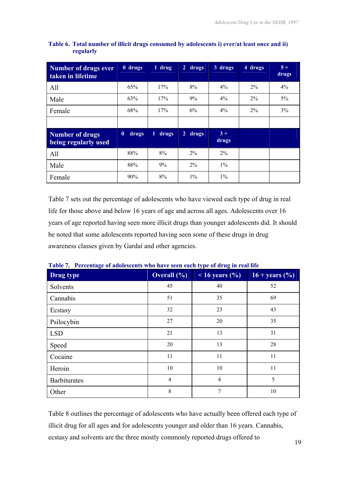| Number of drugs ever<br>taken in lifetime      | 0 drugs                   | 1 drug     | $\overline{2}$<br>drugs | 3 drugs       | 4 drugs | $5+$<br>drugs |
|------------------------------------------------|---------------------------|------------|-------------------------|---------------|---------|---------------|
| All                                            | 65%                       | 17%        | 8%                      | 4%            | $2\%$   | 4%            |
| Male                                           | 63%                       | 17%        | 9%                      | $4\%$         | $2\%$   | $5\%$         |
| Female                                         | 68%                       | 17%        | 6%                      | 4%            | $2\%$   | 3%            |
|                                                |                           |            |                         |               |         |               |
| <b>Number of drugs</b><br>being regularly used | $\boldsymbol{0}$<br>drugs | 1<br>drugs | drugs<br>$\overline{2}$ | $3+$<br>drugs |         |               |
| All                                            | 88%                       | 8%         | $2\%$                   | $2\%$         |         |               |
| Male                                           | 88%                       | 9%         | $2\%$                   | $1\%$         |         |               |
| Female                                         | 90%                       | 8%         | $1\%$                   | $1\%$         |         |               |

#### **Table 6. Total number of illicit drugs consumed by adolescents i) ever/at least once and ii) regularly**

Table 7 sets out the percentage of adolescents who have viewed each type of drug in real life for those above and below 16 years of age and across all ages. Adolescents over 16 years of age reported having seen more illicit drugs than younger adolescents did. It should be noted that some adolescents reported having seen some of these drugs in drug awareness classes given by Gardaí and other agencies.

| Drug type           | Overall $(\frac{9}{6})$ | $16 \text{ years } (%)$ | $16 + \text{years}$ (%) |
|---------------------|-------------------------|-------------------------|-------------------------|
| Solvents            | 45                      | 40                      |                         |
| Cannabis            | 51                      | 35                      |                         |
| Ecstasy             | 32                      | 23                      |                         |
| Psilocybin          | 27                      | 20                      | 35                      |
| <b>LSD</b>          | 21                      | 13                      | 31                      |
| Speed               | 20                      | 13                      | 28                      |
| Cocaine             | 11                      | 11                      | 11                      |
| Heroin              | 10                      | 10                      | 11                      |
| <b>Barbiturates</b> | 4                       | $\overline{4}$          | 5                       |
| Other               | 8                       | 7                       | 10                      |

| Table 7. Percentage of adolescents who have seen each type of drug in real life |  |  |
|---------------------------------------------------------------------------------|--|--|

Table 8 outlines the percentage of adolescents who have actually been offered each type of illicit drug for all ages and for adolescents younger and older than 16 years. Cannabis, ecstasy and solvents are the three mostly commonly reported drugs offered to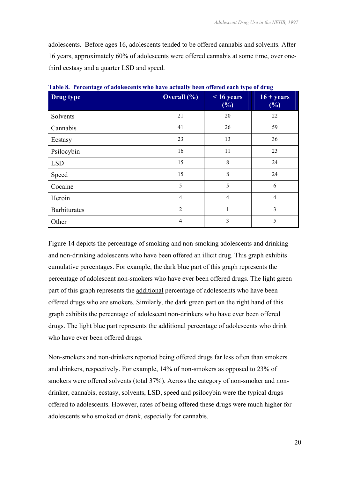adolescents. Before ages 16, adolescents tended to be offered cannabis and solvents. After 16 years, approximately 60% of adolescents were offered cannabis at some time, over onethird ecstasy and a quarter LSD and speed.

| Drug type           | <b>Overall</b> (%) | $16$ years<br>(%) | $16 + years$<br>$(\%)$ |
|---------------------|--------------------|-------------------|------------------------|
| Solvents            | 21                 | 20                | 22                     |
| Cannabis            | 41                 | 26                | 59                     |
| Ecstasy             | 23                 | 13                | 36                     |
| Psilocybin          | 16                 | 11                | 23                     |
| <b>LSD</b>          | 15                 | 8                 | 24                     |
| Speed               | 15                 | 8                 | 24                     |
| Cocaine             | 5                  | 5                 | 6                      |
| Heroin              | 4                  | $\overline{4}$    | $\overline{4}$         |
| <b>Barbiturates</b> | $\overline{2}$     | $\mathbf{1}$      | 3                      |
| Other               | 4                  | 3                 | 5                      |

**Table 8. Percentage of adolescents who have actually been offered each type of drug** 

Figure 14 depicts the percentage of smoking and non-smoking adolescents and drinking and non-drinking adolescents who have been offered an illicit drug. This graph exhibits cumulative percentages. For example, the dark blue part of this graph represents the percentage of adolescent non-smokers who have ever been offered drugs. The light green part of this graph represents the additional percentage of adolescents who have been offered drugs who are smokers. Similarly, the dark green part on the right hand of this graph exhibits the percentage of adolescent non-drinkers who have ever been offered drugs. The light blue part represents the additional percentage of adolescents who drink who have ever been offered drugs.

Non-smokers and non-drinkers reported being offered drugs far less often than smokers and drinkers, respectively. For example, 14% of non-smokers as opposed to 23% of smokers were offered solvents (total 37%). Across the category of non-smoker and nondrinker, cannabis, ecstasy, solvents, LSD, speed and psilocybin were the typical drugs offered to adolescents. However, rates of being offered these drugs were much higher for adolescents who smoked or drank, especially for cannabis.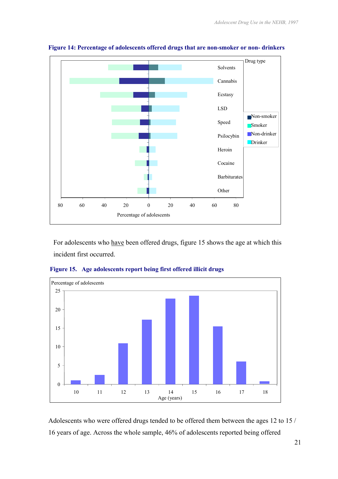

**Figure 14: Percentage of adolescents offered drugs that are non-smoker or non- drinkers** 

For adolescents who have been offered drugs, figure 15 shows the age at which this incident first occurred.



 **Figure 15. Age adolescents report being first offered illicit drugs** 

Adolescents who were offered drugs tended to be offered them between the ages 12 to 15 / 16 years of age. Across the whole sample, 46% of adolescents reported being offered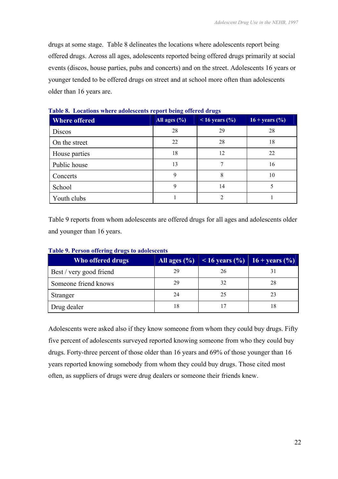drugs at some stage. Table 8 delineates the locations where adolescents report being offered drugs. Across all ages, adolescents reported being offered drugs primarily at social events (discos, house parties, pubs and concerts) and on the street. Adolescents 16 years or younger tended to be offered drugs on street and at school more often than adolescents older than 16 years are.

| <b>Where offered</b> | All ages $(\% )$ | $16 \text{ years}$ (%) | $16 + \text{years}$ (%) |
|----------------------|------------------|------------------------|-------------------------|
| <b>Discos</b>        | 28               | 29                     | 28                      |
| On the street        | 22               | 28                     | 18                      |
| House parties        | 18               | 12                     | 22                      |
| Public house         | 13               | 7                      | 16                      |
| Concerts             | 9                | 8                      | 10                      |
| School               | 9                | 14                     |                         |
| Youth clubs          |                  | 2                      |                         |

**Table 8. Locations where adolescents report being offered drugs** 

Table 9 reports from whom adolescents are offered drugs for all ages and adolescents older and younger than 16 years.

| Who offered drugs       |    | All ages $(\% )$   < 16 years $(\% )$   16 + years $(\% )$ |    |
|-------------------------|----|------------------------------------------------------------|----|
| Best / very good friend | 29 | 26                                                         |    |
| Someone friend knows    | 29 | 32                                                         | 28 |
| Stranger                | 24 | 25                                                         |    |
| Drug dealer             | 18 |                                                            |    |

| Table 9. Person offering drugs to adolescents |  |  |  |  |
|-----------------------------------------------|--|--|--|--|
|-----------------------------------------------|--|--|--|--|

Adolescents were asked also if they know someone from whom they could buy drugs. Fifty five percent of adolescents surveyed reported knowing someone from who they could buy drugs. Forty-three percent of those older than 16 years and 69% of those younger than 16 years reported knowing somebody from whom they could buy drugs. Those cited most often, as suppliers of drugs were drug dealers or someone their friends knew.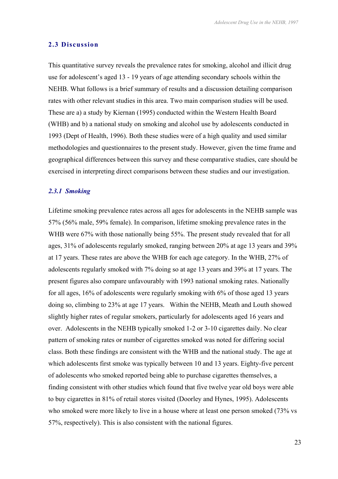#### **2.3 Discussion**

This quantitative survey reveals the prevalence rates for smoking, alcohol and illicit drug use for adolescent's aged 13 - 19 years of age attending secondary schools within the NEHB. What follows is a brief summary of results and a discussion detailing comparison rates with other relevant studies in this area. Two main comparison studies will be used. These are a) a study by Kiernan (1995) conducted within the Western Health Board (WHB) and b) a national study on smoking and alcohol use by adolescents conducted in 1993 (Dept of Health, 1996). Both these studies were of a high quality and used similar methodologies and questionnaires to the present study. However, given the time frame and geographical differences between this survey and these comparative studies, care should be exercised in interpreting direct comparisons between these studies and our investigation.

#### *2.3.1 Smoking*

Lifetime smoking prevalence rates across all ages for adolescents in the NEHB sample was 57% (56% male, 59% female). In comparison, lifetime smoking prevalence rates in the WHB were 67% with those nationally being 55%. The present study revealed that for all ages, 31% of adolescents regularly smoked, ranging between 20% at age 13 years and 39% at 17 years. These rates are above the WHB for each age category. In the WHB, 27% of adolescents regularly smoked with 7% doing so at age 13 years and 39% at 17 years. The present figures also compare unfavourably with 1993 national smoking rates. Nationally for all ages, 16% of adolescents were regularly smoking with 6% of those aged 13 years doing so, climbing to 23% at age 17 years. Within the NEHB, Meath and Louth showed slightly higher rates of regular smokers, particularly for adolescents aged 16 years and over. Adolescents in the NEHB typically smoked 1-2 or 3-10 cigarettes daily. No clear pattern of smoking rates or number of cigarettes smoked was noted for differing social class. Both these findings are consistent with the WHB and the national study. The age at which adolescents first smoke was typically between 10 and 13 years. Eighty-five percent of adolescents who smoked reported being able to purchase cigarettes themselves, a finding consistent with other studies which found that five twelve year old boys were able to buy cigarettes in 81% of retail stores visited (Doorley and Hynes, 1995). Adolescents who smoked were more likely to live in a house where at least one person smoked (73% vs 57%, respectively). This is also consistent with the national figures.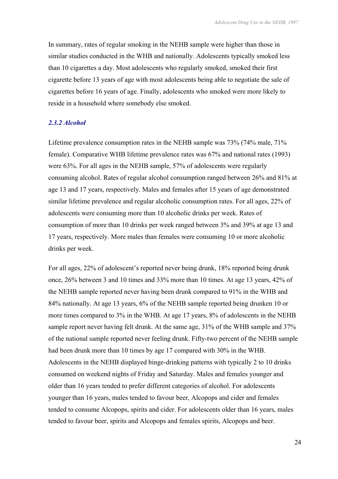In summary, rates of regular smoking in the NEHB sample were higher than those in similar studies conducted in the WHB and nationally. Adolescents typically smoked less than 10 cigarettes a day. Most adolescents who regularly smoked, smoked their first cigarette before 13 years of age with most adolescents being able to negotiate the sale of cigarettes before 16 years of age. Finally, adolescents who smoked were more likely to reside in a household where somebody else smoked.

#### *2.3.2 Alcohol*

Lifetime prevalence consumption rates in the NEHB sample was 73% (74% male, 71% female). Comparative WHB lifetime prevalence rates was 67% and national rates (1993) were 63%. For all ages in the NEHB sample, 57% of adolescents were regularly consuming alcohol. Rates of regular alcohol consumption ranged between 26% and 81% at age 13 and 17 years, respectively. Males and females after 15 years of age demonstrated similar lifetime prevalence and regular alcoholic consumption rates. For all ages, 22% of adolescents were consuming more than 10 alcoholic drinks per week. Rates of consumption of more than 10 drinks per week ranged between 3% and 39% at age 13 and 17 years, respectively. More males than females were consuming 10 or more alcoholic drinks per week.

For all ages, 22% of adolescent's reported never being drunk, 18% reported being drunk once, 26% between 3 and 10 times and 33% more than 10 times. At age 13 years, 42% of the NEHB sample reported never having been drunk compared to 91% in the WHB and 84% nationally. At age 13 years, 6% of the NEHB sample reported being drunken 10 or more times compared to 3% in the WHB. At age 17 years, 8% of adolescents in the NEHB sample report never having felt drunk. At the same age,  $31\%$  of the WHB sample and  $37\%$ of the national sample reported never feeling drunk. Fifty-two percent of the NEHB sample had been drunk more than 10 times by age 17 compared with 30% in the WHB. Adolescents in the NEHB displayed binge-drinking patterns with typically 2 to 10 drinks consumed on weekend nights of Friday and Saturday. Males and females younger and older than 16 years tended to prefer different categories of alcohol. For adolescents younger than 16 years, males tended to favour beer, Alcopops and cider and females tended to consume Alcopops, spirits and cider. For adolescents older than 16 years, males tended to favour beer, spirits and Alcopops and females spirits, Alcopops and beer.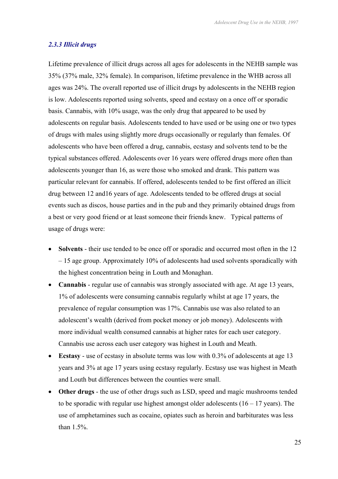#### *2.3.3 Illicit drugs*

Lifetime prevalence of illicit drugs across all ages for adolescents in the NEHB sample was 35% (37% male, 32% female). In comparison, lifetime prevalence in the WHB across all ages was 24%. The overall reported use of illicit drugs by adolescents in the NEHB region is low. Adolescents reported using solvents, speed and ecstasy on a once off or sporadic basis. Cannabis, with 10% usage, was the only drug that appeared to be used by adolescents on regular basis. Adolescents tended to have used or be using one or two types of drugs with males using slightly more drugs occasionally or regularly than females. Of adolescents who have been offered a drug, cannabis, ecstasy and solvents tend to be the typical substances offered. Adolescents over 16 years were offered drugs more often than adolescents younger than 16, as were those who smoked and drank. This pattern was particular relevant for cannabis. If offered, adolescents tended to be first offered an illicit drug between 12 and16 years of age. Adolescents tended to be offered drugs at social events such as discos, house parties and in the pub and they primarily obtained drugs from a best or very good friend or at least someone their friends knew. Typical patterns of usage of drugs were:

- **Solvents** their use tended to be once off or sporadic and occurred most often in the 12 – 15 age group. Approximately 10% of adolescents had used solvents sporadically with the highest concentration being in Louth and Monaghan.
- **Cannabis** regular use of cannabis was strongly associated with age. At age 13 years, 1% of adolescents were consuming cannabis regularly whilst at age 17 years, the prevalence of regular consumption was 17%. Cannabis use was also related to an adolescent's wealth (derived from pocket money or job money). Adolescents with more individual wealth consumed cannabis at higher rates for each user category. Cannabis use across each user category was highest in Louth and Meath.
- **Ecstasy** use of ecstasy in absolute terms was low with 0.3% of adolescents at age 13 years and 3% at age 17 years using ecstasy regularly. Ecstasy use was highest in Meath and Louth but differences between the counties were small.
- **Other drugs** the use of other drugs such as LSD, speed and magic mushrooms tended to be sporadic with regular use highest amongst older adolescents  $(16 - 17 \text{ years})$ . The use of amphetamines such as cocaine, opiates such as heroin and barbiturates was less than 1.5%.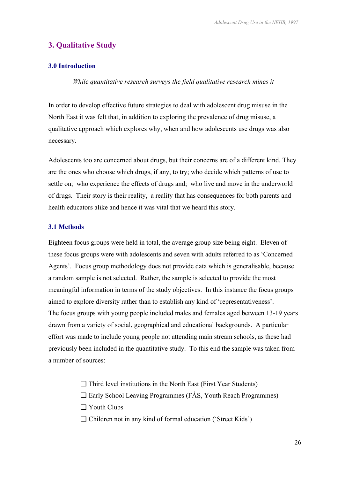# **3. Qualitative Study**

#### **3.0 Introduction**

*While quantitative research surveys the field qualitative research mines it* 

In order to develop effective future strategies to deal with adolescent drug misuse in the North East it was felt that, in addition to exploring the prevalence of drug misuse, a qualitative approach which explores why, when and how adolescents use drugs was also necessary.

Adolescents too are concerned about drugs, but their concerns are of a different kind. They are the ones who choose which drugs, if any, to try; who decide which patterns of use to settle on; who experience the effects of drugs and; who live and move in the underworld of drugs. Their story is their reality, a reality that has consequences for both parents and health educators alike and hence it was vital that we heard this story.

#### **3.1 Methods**

Eighteen focus groups were held in total, the average group size being eight. Eleven of these focus groups were with adolescents and seven with adults referred to as 'Concerned Agents'. Focus group methodology does not provide data which is generalisable, because a random sample is not selected. Rather, the sample is selected to provide the most meaningful information in terms of the study objectives. In this instance the focus groups aimed to explore diversity rather than to establish any kind of 'representativeness'. The focus groups with young people included males and females aged between 13-19 years drawn from a variety of social, geographical and educational backgrounds. A particular effort was made to include young people not attending main stream schools, as these had previously been included in the quantitative study. To this end the sample was taken from a number of sources:

- ❏ Third level institutions in the North East (First Year Students)
- ❏ Early School Leaving Programmes (FÁS, Youth Reach Programmes)
- ❏ Youth Clubs
- ❏ Children not in any kind of formal education ('Street Kids')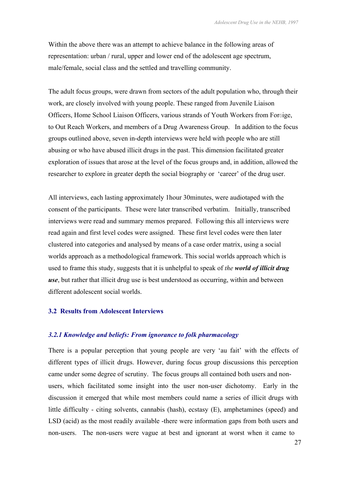Within the above there was an attempt to achieve balance in the following areas of representation: urban / rural, upper and lower end of the adolescent age spectrum, male/female, social class and the settled and travelling community.

The adult focus groups, were drawn from sectors of the adult population who, through their work, are closely involved with young people. These ranged from Juvenile Liaison Officers, Home School Liaison Officers, various strands of Youth Workers from Foroige, to Out Reach Workers, and members of a Drug Awareness Group. In addition to the focus groups outlined above, seven in-depth interviews were held with people who are still abusing or who have abused illicit drugs in the past. This dimension facilitated greater exploration of issues that arose at the level of the focus groups and, in addition, allowed the researcher to explore in greater depth the social biography or 'career' of the drug user.

All interviews, each lasting approximately 1hour 30minutes, were audiotaped with the consent of the participants. These were later transcribed verbatim. Initially, transcribed interviews were read and summary memos prepared. Following this all interviews were read again and first level codes were assigned. These first level codes were then later clustered into categories and analysed by means of a case order matrix, using a social worlds approach as a methodological framework. This social worlds approach which is used to frame this study, suggests that it is unhelpful to speak of *the world of illicit drug use*, but rather that illicit drug use is best understood as occurring, within and between different adolescent social worlds.

#### **3.2 Results from Adolescent Interviews**

#### *3.2.1 Knowledge and beliefs: From ignorance to folk pharmacology*

There is a popular perception that young people are very 'au fait' with the effects of different types of illicit drugs. However, during focus group discussions this perception came under some degree of scrutiny. The focus groups all contained both users and nonusers, which facilitated some insight into the user non-user dichotomy. Early in the discussion it emerged that while most members could name a series of illicit drugs with little difficulty - citing solvents, cannabis (hash), ecstasy (E), amphetamines (speed) and LSD (acid) as the most readily available -there were information gaps from both users and non-users. The non-users were vague at best and ignorant at worst when it came to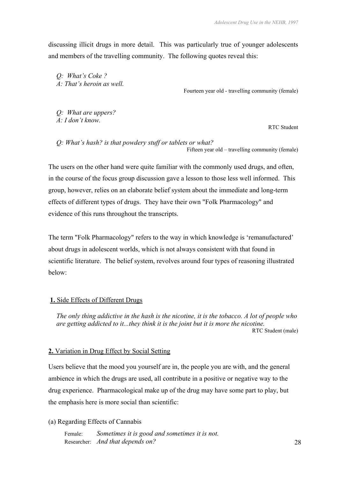discussing illicit drugs in more detail. This was particularly true of younger adolescents and members of the travelling community. The following quotes reveal this:

*Q: What's Coke ? A: That's heroin as well.*

Fourteen year old - travelling community (female)

*Q: What are uppers? A: I don't know.* 

RTC Student

*Q: What's hash? is that powdery stuff or tablets or what?*  Fifteen year old – travelling community (female)

The users on the other hand were quite familiar with the commonly used drugs, and often, in the course of the focus group discussion gave a lesson to those less well informed. This group, however, relies on an elaborate belief system about the immediate and long-term effects of different types of drugs. They have their own "Folk Pharmacology" and evidence of this runs throughout the transcripts.

The term "Folk Pharmacology" refers to the way in which knowledge is 'remanufactured' about drugs in adolescent worlds, which is not always consistent with that found in scientific literature. The belief system, revolves around four types of reasoning illustrated below:

#### **1.** Side Effects of Different Drugs

*The only thing addictive in the hash is the nicotine, it is the tobacco. A lot of people who are getting addicted to it...they think it is the joint but it is more the nicotine.*  RTC Student (male)

#### **2.** Variation in Drug Effect by Social Setting

Users believe that the mood you yourself are in, the people you are with, and the general ambience in which the drugs are used, all contribute in a positive or negative way to the drug experience. Pharmacological make up of the drug may have some part to play, but the emphasis here is more social than scientific:

#### (a) Regarding Effects of Cannabis

Female: *Sometimes it is good and sometimes it is not.*  Researcher: *And that depends on?* 28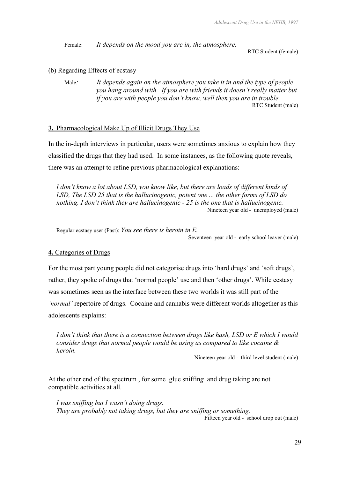Female: *It depends on the mood you are in, the atmosphere.*

RTC Student (female)

#### (b) Regarding Effects of ecstasy

Male*: It depends again on the atmosphere you take it in and the type of people you hang around with. If you are with friends it doesn't really matter but if you are with people you don't know, well then you are in trouble.*  RTC Student (male)

#### **3.** Pharmacological Make Up of Illicit Drugs They Use

In the in-depth interviews in particular, users were sometimes anxious to explain how they classified the drugs that they had used. In some instances, as the following quote reveals, there was an attempt to refine previous pharmacological explanations:

*I don't know a lot about LSD, you know like, but there are loads of different kinds of LSD, The LSD 25 that is the hallucinogenic, potent one ... the other forms of LSD do nothing. I don't think they are hallucinogenic - 25 is the one that is hallucinogenic.*  Nineteen year old - unemployed (male)

Regular ecstasy user (Past): *You see there is heroin in E*.<br>Seventeen year old - early school leaver (male)

#### **4.** Categories of Drugs

For the most part young people did not categorise drugs into 'hard drugs' and 'soft drugs', rather, they spoke of drugs that 'normal people' use and then 'other drugs'. While ecstasy was sometimes seen as the interface between these two worlds it was still part of the *'normal'* repertoire of drugs. Cocaine and cannabis were different worlds altogether as this adolescents explains:

*I don't think that there is a connection between drugs like hash, LSD or E which I would consider drugs that normal people would be using as compared to like cocaine & heroin.*

Nineteen year old - third level student (male)

At the other end of the spectrum , for some glue sniffin*g* and drug taking are not compatible activities at all.

*I was sniffing but I wasn't doing drugs. They are probably not taking drugs, but they are sniffing or something.* 

Fifteen year old - school drop out (male)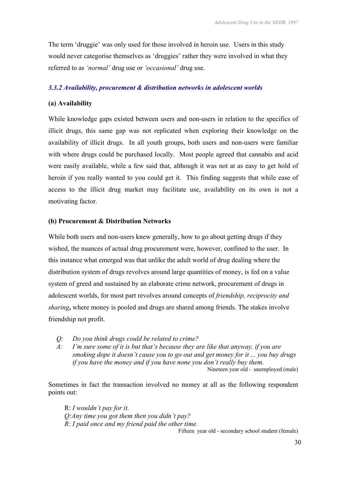The term 'druggie' was only used for those involved in heroin use. Users in this study would never categorise themselves as 'druggies' rather they were involved in what they referred to as *'normal'* drug use or *'occasional'* drug use.

#### *3.3.2 Availability, procurement & distribution networks in adolescent worlds*

#### **(a) Availability**

While knowledge gaps existed between users and non-users in relation to the specifics of illicit drugs, this same gap was not replicated when exploring their knowledge on the availability of illicit drugs. In all youth groups, both users and non-users were familiar with where drugs could be purchased locally. Most people agreed that cannabis and acid were easily available, while a few said that, although it was not at as easy to get hold of heroin if you really wanted to you could get it. This finding suggests that while ease of access to the illicit drug market may facilitate use, availability on its own is not a motivating factor.

#### **(b) Procurement & Distribution Networks**

While both users and non-users knew generally, how to go about getting drugs if they wished, the nuances of actual drug procurement were, however, confined to the user. In this instance what emerged was that unlike the adult world of drug dealing where the distribution system of drugs revolves around large quantities of money, is fed on a value system of greed and sustained by an elaborate crime network, procurement of drugs in adolescent worlds, for most part revolves around concepts of *friendship, reciprocity and sharing*, where money is pooled and drugs are shared among friends. The stakes involve friendship not profit.

- *Q: Do you think drugs could be related to crime?*
- *A: I'm sure some of it is but that's because they are like that anyway, if you are smoking dope it doesn't cause you to go out and get money for it ... you buy drugs if you have the money and if you have none you don't really buy them.*  Nineteen year old - unemployed (male)

Sometimes in fact the transaction involved no money at all as the following respondent points out:

R: *I wouldn't pay for it. Q:Any time you got them then you didn't pay? R: I paid once and my friend paid the other time.* 

Fifteen year old - secondary school student (female)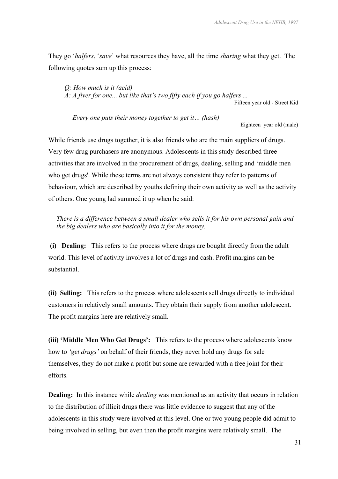They go '*halfers*, '*save*' what resources they have, all the time *sharing* what they get. The following quotes sum up this process:

*Q: How much is it (acid) A: A fiver for one... but like that's two fifty each if you go halfers ...*  Fifteen year old - Street Kid

*Every one puts their money together to get it… (hash)*

Eighteen year old (male)

While friends use drugs together, it is also friends who are the main suppliers of drugs. Very few drug purchasers are anonymous. Adolescents in this study described three activities that are involved in the procurement of drugs, dealing, selling and 'middle men who get drugs'. While these terms are not always consistent they refer to patterns of behaviour, which are described by youths defining their own activity as well as the activity of others. One young lad summed it up when he said:

*There is a difference between a small dealer who sells it for his own personal gain and the big dealers who are basically into it for the money.* 

 **(i) Dealing:** This refers to the process where drugs are bought directly from the adult world. This level of activity involves a lot of drugs and cash. Profit margins can be substantial.

**(ii) Selling:** This refers to the process where adolescents sell drugs directly to individual customers in relatively small amounts. They obtain their supply from another adolescent. The profit margins here are relatively small.

**(iii) 'Middle Men Who Get Drugs':** This refers to the process where adolescents know how to *'get drugs'* on behalf of their friends, they never hold any drugs for sale themselves, they do not make a profit but some are rewarded with a free joint for their efforts.

**Dealing:** In this instance while *dealing* was mentioned as an activity that occurs in relation to the distribution of illicit drugs there was little evidence to suggest that any of the adolescents in this study were involved at this level. One or two young people did admit to being involved in selling, but even then the profit margins were relatively small. The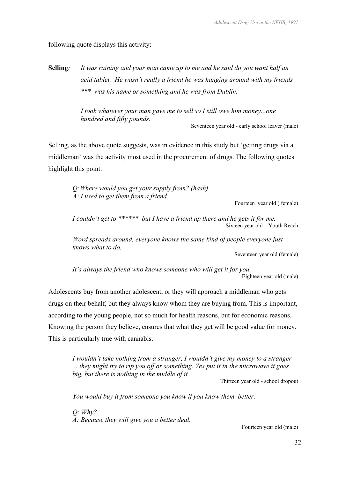following quote displays this activity:

**Selling***: It was raining and your man came up to me and he said do you want half an acid tablet. He wasn't really a friend he was hanging around with my friends \*\*\* was his name or something and he was from Dublin.* 

> *I took whatever your man gave me to sell so I still owe him money...one hundred and fifty pounds.*  Seventeen year old - early school leaver (male)

Selling, as the above quote suggests, was in evidence in this study but 'getting drugs via a middleman' was the activity most used in the procurement of drugs. The following quotes highlight this point:

*Q:Where would you get your supply from? (hash) A: I used to get them from a friend.* 

Fourteen year old ( female)

 *I couldn't get to \*\*\*\*\*\* but I have a friend up there and he gets it for me.*  Sixteen year old – Youth Reach

*Word spreads around, everyone knows the same kind of people everyone just knows what to do.* 

Seventeen year old (female)

*It's always the friend who knows someone who will get it for you.*  Eighteen year old (male)

Adolescents buy from another adolescent, or they will approach a middleman who gets drugs on their behalf, but they always know whom they are buying from. This is important, according to the young people, not so much for health reasons, but for economic reasons. Knowing the person they believe, ensures that what they get will be good value for money. This is particularly true with cannabis.

*I wouldn't take nothing from a stranger, I wouldn't give my money to a stranger ... they might try to rip you off or something. Yes put it in the microwave it goes big, but there is nothing in the middle of it.* 

Thirteen year old - school dropout

*You would buy it from someone you know if you know them better.* 

*Q: Why? A: Because they will give you a better deal.* 

Fourteen year old (male)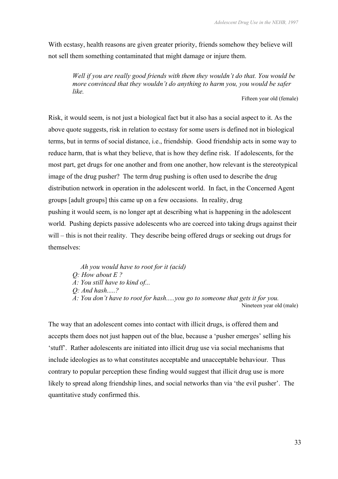With ecstasy, health reasons are given greater priority, friends somehow they believe will not sell them something contaminated that might damage or injure them.

*Well if you are really good friends with them they wouldn't do that. You would be more convinced that they wouldn't do anything to harm you, you would be safer like.* 

Fifteen year old (female)

Risk, it would seem, is not just a biological fact but it also has a social aspect to it. As the above quote suggests, risk in relation to ecstasy for some users is defined not in biological terms, but in terms of social distance, i.e., friendship. Good friendship acts in some way to reduce harm, that is what they believe, that is how they define risk. If adolescents, for the most part, get drugs for one another and from one another, how relevant is the stereotypical image of the drug pusher? The term drug pushing is often used to describe the drug distribution network in operation in the adolescent world. In fact, in the Concerned Agent groups [adult groups] this came up on a few occasions. In reality, drug pushing it would seem, is no longer apt at describing what is happening in the adolescent world. Pushing depicts passive adolescents who are coerced into taking drugs against their will – this is not their reality. They describe being offered drugs or seeking out drugs for themselves:

 *Ah you would have to root for it (acid) Q: How about E ? A: You still have to kind of... Q: And hash.....? A: You don't have to root for hash.....you go to someone that gets it for you.*  Nineteen year old (male)

The way that an adolescent comes into contact with illicit drugs, is offered them and accepts them does not just happen out of the blue, because a 'pusher emerges' selling his 'stuff'. Rather adolescents are initiated into illicit drug use via social mechanisms that include ideologies as to what constitutes acceptable and unacceptable behaviour. Thus contrary to popular perception these finding would suggest that illicit drug use is more likely to spread along friendship lines, and social networks than via 'the evil pusher'. The quantitative study confirmed this.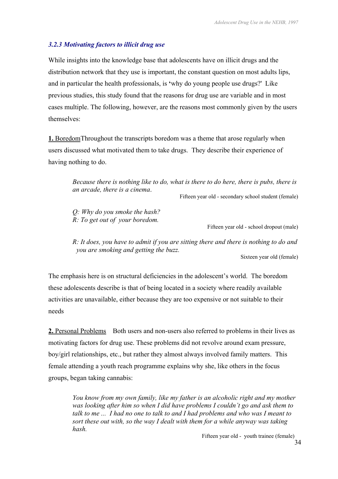### *3.2.3 Motivating factors to illicit drug use*

While insights into the knowledge base that adolescents have on illicit drugs and the distribution network that they use is important, the constant question on most adults lips, and in particular the health professionals, is **'**why do young people use drugs?'Like previous studies, this study found that the reasons for drug use are variable and in most cases multiple. The following, however, are the reasons most commonly given by the users themselves:

**1.** BoredomThroughout the transcripts boredom was a theme that arose regularly when users discussed what motivated them to take drugs. They describe their experience of having nothing to do.

> *Because there is nothing like to do, what is there to do here, there is pubs, there is an arcade, there is a cinema*.<br>Fifteen year old - secondary school student (female)

*Q: Why do you smoke the hash? R: To get out of your boredom.* 

Fifteen year old - school dropout (male)

*R: It does, you have to admit if you are sitting there and there is nothing to do and you are smoking and getting the buzz.* 

Sixteen year old (female)

The emphasis here is on structural deficiencies in the adolescent's world. The boredom these adolescents describe is that of being located in a society where readily available activities are unavailable, either because they are too expensive or not suitable to their needs

**2.** Personal Problems Both users and non-users also referred to problems in their lives as motivating factors for drug use. These problems did not revolve around exam pressure, boy/girl relationships, etc., but rather they almost always involved family matters. This female attending a youth reach programme explains why she, like others in the focus groups, began taking cannabis:

*You know from my own family, like my father is an alcoholic right and my mother was looking after him so when I did have problems I couldn't go and ask them to talk to me ... I had no one to talk to and I had problems and who was I meant to sort these out with, so the way I dealt with them for a while anyway was taking hash.* 

Fifteen year old - youth trainee (female)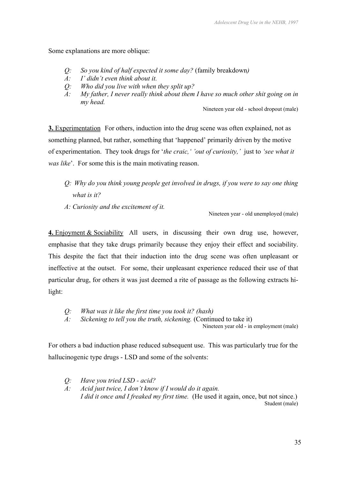Some explanations are more oblique:

- *Q: So you kind of half expected it some day?* (family breakdown*)*
- *A: I' didn't even think about it.*
- *Q: Who did you live with when they split up?*
- *A: My father, I never really think about them I have so much other shit going on in my head.*

Nineteen year old - school dropout (male)

**3.** Experimentation For others, induction into the drug scene was often explained, not as something planned, but rather, something that 'happened' primarily driven by the motive of experimentation. They took drugs for '*the craic,' 'out of curiosity,'* just to *'see what it was like*'. For some this is the main motivating reason.

- *Q: Why do you think young people get involved in drugs, if you were to say one thing what is it?*
- *A: Curiosity and the excitement of it.*

Nineteen year - old unemployed (male)

**4.** Enjoyment & Sociability All users, in discussing their own drug use, however, emphasise that they take drugs primarily because they enjoy their effect and sociability. This despite the fact that their induction into the drug scene was often unpleasant or ineffective at the outset. For some, their unpleasant experience reduced their use of that particular drug, for others it was just deemed a rite of passage as the following extracts hilight:

*Q: What was it like the first time you took it? (hash)* 

*A: Sickening to tell you the truth, sickening.* (Continued to take it)

Nineteen year old - in employment (male)

For others a bad induction phase reduced subsequent use. This was particularly true for the hallucinogenic type drugs - LSD and some of the solvents:

- *Q: Have you tried LSD acid?*
- *A: Acid just twice, I don't know if I would do it again. I did it once and I freaked my first time.* (He used it again, once, but not since.) Student (male)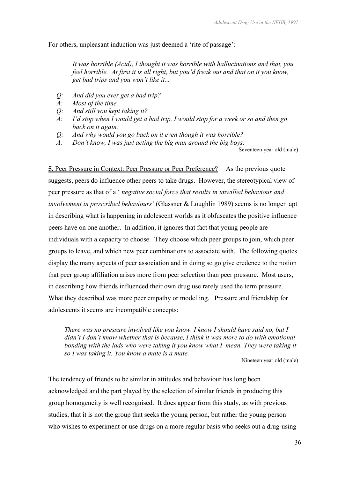For others, unpleasant induction was just deemed a 'rite of passage':

*It was horrible (Acid), I thought it was horrible with hallucinations and that, you feel horrible. At first it is all right, but you'd freak out and that on it you know, get bad trips and you won't like it...* 

- *Q: And did you ever get a bad trip?*
- *A: Most of the time.*
- *Q: And still you kept taking it?*
- *A: I'd stop when I would get a bad trip, I would stop for a week or so and then go back on it again.*
- *Q: And why would you go back on it even though it was horrible?*
- *A: Don't know, I was just acting the big man around the big boys.*

Seventeen year old (male)

**5.** Peer Pressure in Context: Peer Pressure or Peer Preference? As the previous quote suggests, peers do influence other peers to take drugs. However, the stereotypical view of peer pressure as that of a ' *negative social force that results in unwilled behaviour and in*v*olvement in proscribed behaviours'* (Glassner & Loughlin 1989) seems is no longer apt in describing what is happening in adolescent worlds as it obfuscates the positive influence peers have on one another. In addition, it ignores that fact that young people are individuals with a capacity to choose. They choose which peer groups to join, which peer groups to leave, and which new peer combinations to associate with. The following quotes display the many aspects of peer association and in doing so go give credence to the notion that peer group affiliation arises more from peer selection than peer pressure. Most users, in describing how friends influenced their own drug use rarely used the term pressure. What they described was more peer empathy or modelling. Pressure and friendship for adolescents it seems are incompatible concepts:

*There was no pressure involved like you know. I know I should have said no, but I didn't I don't know whether that is because, I think it was more to do with emotional bonding with the lads who were taking it you know what I mean. They were taking it so I was taking it. You know a mate is a mate.* 

Nineteen year old (male)

The tendency of friends to be similar in attitudes and behaviour has long been acknowledged and the part played by the selection of similar friends in producing this group homogeneity is well recognised. It does appear from this study, as with previous studies, that it is not the group that seeks the young person, but rather the young person who wishes to experiment or use drugs on a more regular basis who seeks out a drug-using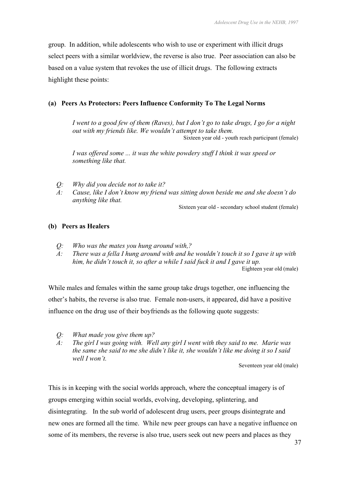group. In addition, while adolescents who wish to use or experiment with illicit drugs select peers with a similar worldview, the reverse is also true. Peer association can also be based on a value system that revokes the use of illicit drugs. The following extracts highlight these points:

# **(a) Peers As Protectors: Peers Influence Conformity To The Legal Norms**

*I went to a good few of them (Raves), but I don't go to take drugs, I go for a night out with my friends like. We wouldn't attempt to take them.*  Sixteen year old - youth reach participant (female)

*I was offered some ... it was the white powdery stuff I think it was speed or something like that.* 

- *Q: Why did you decide not to take it?*
- *A: Cause, like I don't know my friend was sitting down beside me and she doesn't do anything like that.*

Sixteen year old - secondary school student (female)

# **(b) Peers as Healers**

- *Q: Who was the mates you hung around with,?*
- *A: There was a fella I hung around with and he wouldn't touch it so I gave it up with him, he didn't touch it, so after a while I said fuck it and I gave it up.*  Eighteen year old (male)

While males and females within the same group take drugs together, one influencing the other's habits, the reverse is also true. Female non-users, it appeared, did have a positive influence on the drug use of their boyfriends as the following quote suggests:

- *Q: What made you give them up?*
- *A: The girl I was going with. Well any girl I went with they said to me. Marie was the same she said to me she didn't like it, she wouldn't like me doing it so I said well I won't.*

Seventeen year old (male)

This is in keeping with the social worlds approach, where the conceptual imagery is of groups emerging within social worlds, evolving, developing, splintering, and disintegrating. In the sub world of adolescent drug users, peer groups disintegrate and new ones are formed all the time. While new peer groups can have a negative influence on some of its members, the reverse is also true, users seek out new peers and places as they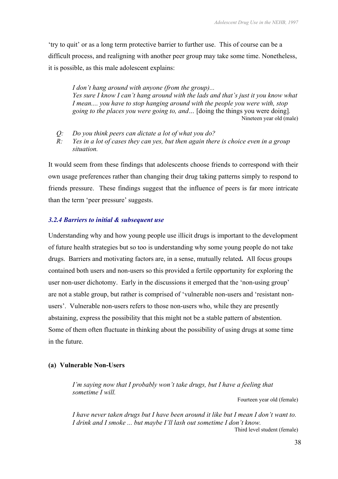'try to quit' or as a long term protective barrier to further use. This of course can be a difficult process, and realigning with another peer group may take some time. Nonetheless, it is possible, as this male adolescent explains:

*I don't hang around with anyone (from the group)... Yes sure I know I can't hang around with the lads and that's just it you know what I mean.... you have to stop hanging around with the people you were with, stop going to the places you were going to, and…* [doing the things you were doing]*.* Nineteen year old (male)

- *Q: Do you think peers can dictate a lot of what you do?*
- *R: Yes in a lot of cases they can yes, but then again there is choice even in a group situation.*

It would seem from these findings that adolescents choose friends to correspond with their own usage preferences rather than changing their drug taking patterns simply to respond to friends pressure. These findings suggest that the influence of peers is far more intricate than the term 'peer pressure' suggests.

#### *3.2.4 Barriers to initial & subsequent use*

Understanding why and how young people use illicit drugs is important to the development of future health strategies but so too is understanding why some young people do not take drugs. Barriers and motivating factors are, in a sense, mutually related**.** All focus groups contained both users and non-users so this provided a fertile opportunity for exploring the user non-user dichotomy. Early in the discussions it emerged that the 'non-using group' are not a stable group, but rather is comprised of 'vulnerable non-users and 'resistant nonusers'. Vulnerable non-users refers to those non-users who, while they are presently abstaining, express the possibility that this might not be a stable pattern of abstention. Some of them often fluctuate in thinking about the possibility of using drugs at some time in the future.

#### **(a) Vulnerable Non-Users**

*I'm saying now that I probably won't take drugs, but I have a feeling that sometime I will.* 

Fourteen year old (female)

*I have never taken drugs but I have been around it like but I mean I don't want to. I drink and I smoke ... but maybe I'll lash out sometime I don't know.*  Third level student (female)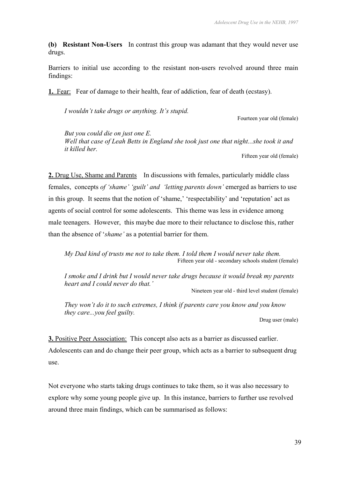**(b) Resistant Non-Users** In contrast this group was adamant that they would never use drugs.

Barriers to initial use according to the resistant non-users revolved around three main findings:

**1.** Fear: Fear of damage to their health, fear of addiction, fear of death (ecstasy).

*I wouldn't take drugs or anything. It's stupid.* 

Fourteen year old (female)

*But you could die on just one E. Well that case of Leah Betts in England she took just one that night...she took it and it killed her.*

Fifteen year old (female)

**2.** Drug Use, Shame and Parents In discussions with females, particularly middle class females, concepts *of 'shame' 'guilt' and 'letting parents down'* emerged as barriers to use in this group. It seems that the notion of 'shame,' 'respectability' and 'reputation' act as agents of social control for some adolescents. This theme was less in evidence among male teenagers. However, this maybe due more to their reluctance to disclose this, rather than the absence of '*shame'* as a potential barrier for them.

*My Dad kind of trusts me not to take them. I told them I would never take them.*  Fifteen year old - secondary schools student (female)

*I smoke and I drink but I would never take drugs because it would break my parents heart and I could never do that.'*

Nineteen year old - third level student (female)

*They won't do it to such extremes, I think if parents care you know and you know they care...you feel guilty.* 

Drug user (male)

**3.** Positive Peer Association:This concept also acts as a barrier as discussed earlier. Adolescents can and do change their peer group, which acts as a barrier to subsequent drug use.

Not everyone who starts taking drugs continues to take them, so it was also necessary to explore why some young people give up. In this instance, barriers to further use revolved around three main findings, which can be summarised as follows: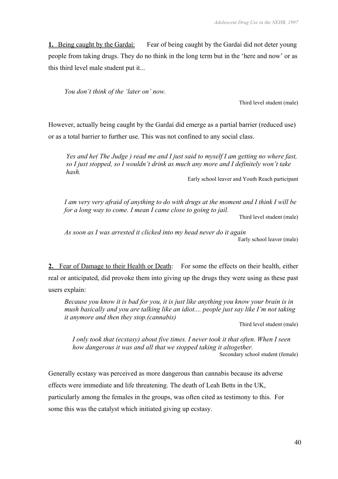**1.** Being caught by the Gardaí: Fear of being caught by the Gardaí did not deter young people from taking drugs. They do no think in the long term but in the 'here and now' or as this third level male student put it...

*You don't think of the 'later on' now.* 

Third level student (male)

However, actually being caught by the Gardaí did emerge as a partial barrier (reduced use) or as a total barrier to further use. This was not confined to any social class.

*Yes and he( The Judge ) read me and I just said to myself I am getting no where fast, so I just stopped, so I wouldn't drink as much any more and I definitely won't take hash.* 

Early school leaver and Youth Reach participant

*I am very very afraid of anything to do with drugs at the moment and I think I will be for a long way to come. I mean I came close to going to jail.* 

Third level student (male)

*As soon as I was arrested it clicked into my head never do it again*  Early school leaver (male)

**2.** Fear of Damage to their Health or Death: For some the effects on their health, either real or anticipated, did provoke them into giving up the drugs they were using as these past users explain:

*Because you know it is bad for you, it is just like anything you know your brain is in mush basically and you are talking like an idiot.... people just say like I'm not taking it anymore and then they stop.(cannabis)*

Third level student (male)

*I only took that (ecstasy) about five times. I never took it that often. When I seen how dangerous it was and all that we stopped taking it altogether.*  Secondary school student (female)

Generally ecstasy was perceived as more dangerous than cannabis because its adverse effects were immediate and life threatening. The death of Leah Betts in the UK, particularly among the females in the groups, was often cited as testimony to this. For some this was the catalyst which initiated giving up ecstasy.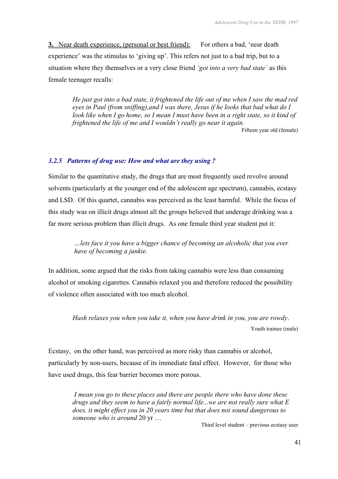**3.** Near death experience, (personal or best friend): For others a bad, 'near death experience' was the stimulus to 'giving up'. This refers not just to a bad trip, but to a situation where they themselves or a very close friend *'got into a very bad state'* as this female teenager recalls:

*He just got into a bad state, it frightened the life out of me when I saw the mad red eyes in Paul (from sniffing),and I was there, Jesus if he looks that bad what do I look like when I go home, so I mean I must have been in a right state, so it kind of frightened the life of me and I wouldn't really go near it again.*  Fifteen year old (female)

## *3.2.5 Patterns of drug use: How and what are they using ?*

Similar to the quantitative study, the drugs that are most frequently used revolve around solvents (particularly at the younger end of the adolescent age spectrum), cannabis, ecstasy and LSD. Of this quartet, cannabis was perceived as the least harmful. While the focus of this study was on illicit drugs almost all the groups believed that underage drinking was a far more serious problem than illicit drugs. As one female third year student put it:

> *…lets face it you have a bigger chance of becoming an alcoholic that you ever have of becoming a junkie.*

In addition, some argued that the risks from taking cannabis were less than consuming alcohol or smoking cigarettes. Cannabis relaxed you and therefore reduced the possibility of violence often associated with too much alcohol.

*Hash relaxes you when you take it, when you have drink in you, you are rowdy*. Youth trainee (male)

Ecstasy, on the other hand, was perceived as more risky than cannabis or alcohol, particularly by non-users, because of its immediate fatal effect. However, for those who have used drugs, this fear barrier becomes more porous.

*I mean you go to these places and there are people there who have done these drugs and they seem to have a fairly normal life...we are not really sure what E does, it might effect you in 20 years time but that does not sound dangerous to someone who is around* 20 yr …

Third level student – previous ecstasy user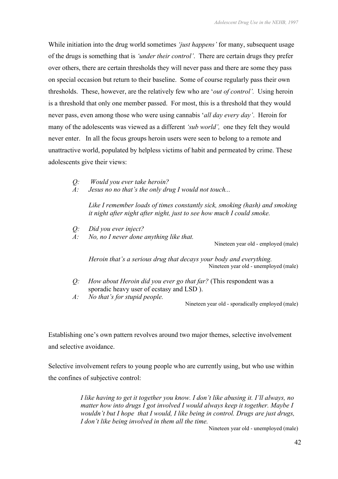While initiation into the drug world sometimes *'just happens'* for many, subsequent usage of the drugs is something that is *'under their control'*. There are certain drugs they prefer over others, there are certain thresholds they will never pass and there are some they pass on special occasion but return to their baseline. Some of course regularly pass their own thresholds. These, however, are the relatively few who are '*out of control'.* Using heroin is a threshold that only one member passed. For most, this is a threshold that they would never pass, even among those who were using cannabis '*all day every day'*. Heroin for many of the adolescents was viewed as a different *'sub world',* one they felt they would never enter. In all the focus groups heroin users were seen to belong to a remote and unattractive world, populated by helpless victims of habit and permeated by crime. These adolescents give their views:

- *Q: Would you ever take heroin?*
- *A: Jesus no no that's the only drug I would not touch...*

*Like I remember loads of times constantly sick, smoking (hash) and smoking it night after night after night, just to see how much I could smoke.* 

- *Q: Did you ever inject?*
- *A: No, no I never done anything like that.*

Nineteen year old - employed (male)

*Heroin that's a serious drug that decays your body and everything.*  Nineteen year old - unemployed (male)

- *Q: How about Heroin did you ever go that far?* (This respondent was a sporadic heavy user of ecstasy and LSD ).
- *A: No that's for stupid people.*

Nineteen year old - sporadically employed (male)

Establishing one's own pattern revolves around two major themes, selective involvement and selective avoidance.

Selective involvement refers to young people who are currently using, but who use within the confines of subjective control:

> *I like having to get it together you know. I don't like abusing it. I'll always, no matter how into drugs I got involved I would always keep it together. Maybe I wouldn't but I hope that I would, I like being in control. Drugs are just drugs, I don't like being involved in them all the time.*

> > Nineteen year old - unemployed (male)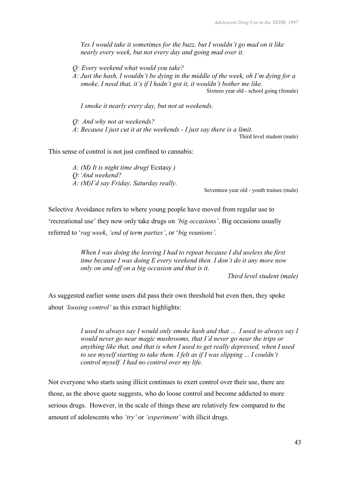*Yes I would take it sometimes for the buzz, but I wouldn't go mad on it like nearly every week, but not every day and going mad over it.*

- *Q: Every weekend what would you take?*
- *A: Just the hash, I wouldn't be dying in the middle of the week, oh I'm dying for a smoke, I need that, it's if I hadn't got it, it wouldn't bother me like.*  Sixteen year old - school going (female)

*I smoke it nearly every day, but not at weekends.*

*Q: And why not at weekends? A: Because I just cut it at the weekends - I just say there is a limit.* 

Third level student (male)

This sense of control is not just confined to cannabis:

*A: (M) It is night time drug(* Ecstasy *) Q:'And weekend? A: (M)I'd say Friday, Saturday really.* 

Seventeen year old - youth trainee (male)

Selective Avoidance refers to where young people have moved from regular use to 'recreational use' they now only take drugs on *'big occasions'*. Big occasions usually referred to '*rag week*, *'end of term parties'*, or '*big reunions'.* 

> *When I was doing the leaving I had to repeat because I did useless the first time because I was doing E every weekend then. I don't do it any more now only on and off on a big occasion and that is it.*

*Third level student (male)*

As suggested earlier some users did pass their own threshold but even then, they spoke about *'loosing control'* as this extract highlights:

> *I used to always say I would only smoke hash and that ... I used to always say I would never go near magic mushrooms, that I'd never go near the trips or anything like that, and that is when I used to get really depressed, when I used to see myself starting to take them. I felt as if I was slipping ... I couldn't control myself. I had no control over my life.*

Not everyone who starts using illicit continues to exert control over their use, there are those, as the above quote suggests, who do loose control and become addicted to more serious drugs. However, in the scale of things these are relatively few compared to the amount of adolescents who *'try'* or *'experiment'* with illicit drugs.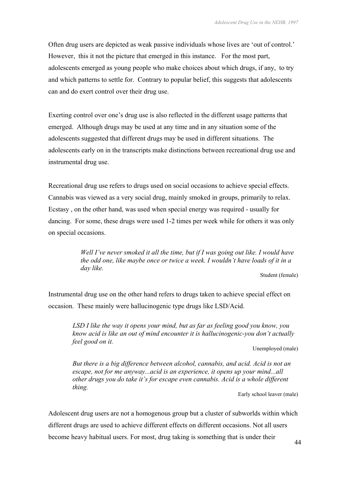Often drug users are depicted as weak passive individuals whose lives are 'out of control.' However, this it not the picture that emerged in this instance. For the most part, adolescents emerged as young people who make choices about which drugs, if any, to try and which patterns to settle for. Contrary to popular belief, this suggests that adolescents can and do exert control over their drug use.

Exerting control over one's drug use is also reflected in the different usage patterns that emerged. Although drugs may be used at any time and in any situation some of the adolescents suggested that different drugs may be used in different situations. The adolescents early on in the transcripts make distinctions between recreational drug use and instrumental drug use.

Recreational drug use refers to drugs used on social occasions to achieve special effects. Cannabis was viewed as a very social drug, mainly smoked in groups, primarily to relax. Ecstasy , on the other hand, was used when special energy was required - usually for dancing. For some, these drugs were used 1-2 times per week while for others it was only on special occasions.

> *Well I've never smoked it all the time, but if I was going out like. I would have the odd one, like maybe once or twice a week. I wouldn't have loads of it in a day like.*

Student (female)

Instrumental drug use on the other hand refers to drugs taken to achieve special effect on occasion. These mainly were hallucinogenic type drugs like LSD/Acid.

*LSD I like the way it opens your mind, but as far as feeling good you know, you know acid is like an out of mind encounter it is hallucinogenic-you don't actually feel good on it.* 

Unemployed (male)

*But there is a big difference between alcohol, cannabis, and acid. Acid is not an escape, not for me anyway...acid is an experience, it opens up your mind...all other drugs you do take it's for escape even cannabis. Acid is a whole different thing.* 

Early school leaver (male)

Adolescent drug users are not a homogenous group but a cluster of subworlds within which different drugs are used to achieve different effects on different occasions. Not all users become heavy habitual users. For most, drug taking is something that is under their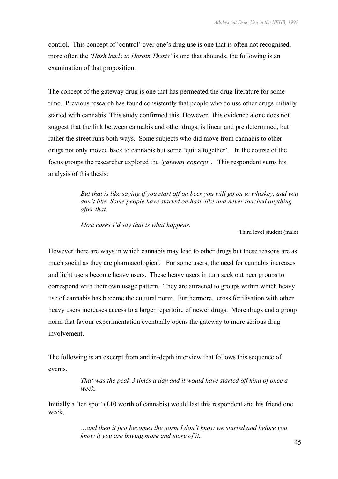control. This concept of 'control' over one's drug use is one that is often not recognised, more often the *'Hash leads to Heroin Thesis'* is one that abounds, the following is an examination of that proposition.

The concept of the gateway drug is one that has permeated the drug literature for some time. Previous research has found consistently that people who do use other drugs initially started with cannabis. This study confirmed this. However, this evidence alone does not suggest that the link between cannabis and other drugs, is linear and pre determined, but rather the street runs both ways. Some subjects who did move from cannabis to other drugs not only moved back to cannabis but some 'quit altogether'. In the course of the focus groups the researcher explored the *'gateway concept'*. This respondent sums his analysis of this thesis:

> *But that is like saying if you start off on beer you will go on to whiskey, and you don't like. Some people have started on hash like and never touched anything after that.*

*Most cases I'd say that is what happens.* 

Third level student (male)

However there are ways in which cannabis may lead to other drugs but these reasons are as much social as they are pharmacological. For some users, the need for cannabis increases and light users become heavy users. These heavy users in turn seek out peer groups to correspond with their own usage pattern. They are attracted to groups within which heavy use of cannabis has become the cultural norm. Furthermore, cross fertilisation with other heavy users increases access to a larger repertoire of newer drugs. More drugs and a group norm that favour experimentation eventually opens the gateway to more serious drug involvement.

The following is an excerpt from and in-depth interview that follows this sequence of events.

> *That was the peak 3 times a day and it would have started off kind of once a week.*

Initially a 'ten spot'  $(£10$  worth of cannabis) would last this respondent and his friend one week,

> *…and then it just becomes the norm I don't know we started and before you know it you are buying more and more of it.*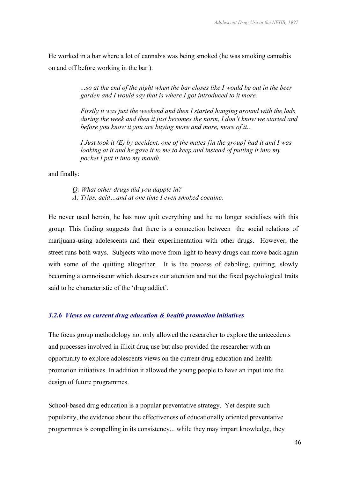He worked in a bar where a lot of cannabis was being smoked (he was smoking cannabis on and off before working in the bar ).

> *...so at the end of the night when the bar closes like I would be out in the beer garden and I would say that is where I got introduced to it more.*

*Firstly it was just the weekend and then I started hanging around with the lads during the week and then it just becomes the norm, I don't know we started and before you know it you are buying more and more, more of it...* 

*I Just took it (E) by accident, one of the mates [in the group] had it and I was looking at it and he gave it to me to keep and instead of putting it into my pocket I put it into my mouth.*

and finally:

*Q: What other drugs did you dapple in? A: Trips, acid…and at one time I even smoked cocaine.* 

He never used heroin, he has now quit everything and he no longer socialises with this group. This finding suggests that there is a connection between the social relations of marijuana-using adolescents and their experimentation with other drugs. However, the street runs both ways. Subjects who move from light to heavy drugs can move back again with some of the quitting altogether. It is the process of dabbling, quitting, slowly becoming a connoisseur which deserves our attention and not the fixed psychological traits said to be characteristic of the 'drug addict'.

#### *3.2.6 Views on current drug education & health promotion initiatives*

The focus group methodology not only allowed the researcher to explore the antecedents and processes involved in illicit drug use but also provided the researcher with an opportunity to explore adolescents views on the current drug education and health promotion initiatives. In addition it allowed the young people to have an input into the design of future programmes.

School-based drug education is a popular preventative strategy. Yet despite such popularity, the evidence about the effectiveness of educationally oriented preventative programmes is compelling in its consistency... while they may impart knowledge, they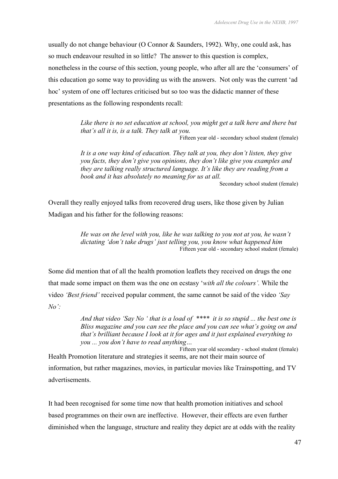usually do not change behaviour (O Connor & Saunders, 1992). Why, one could ask, has so much endeavour resulted in so little? The answer to this question is complex, nonetheless in the course of this section, young people, who after all are the 'consumers' of this education go some way to providing us with the answers. Not only was the current 'ad hoc' system of one off lectures criticised but so too was the didactic manner of these presentations as the following respondents recall:

> *Like there is no set education at school, you might get a talk here and there but that's all it is, is a talk. They talk at you.*

Fifteen year old - secondary school student (female)

*It is a one way kind of education. They talk at you, they don't listen, they give you facts, they don't give you opinions, they don't like give you examples and they are talking really structured language. It's like they are reading from a book and it has absolutely no meaning for us at all.* 

Secondary school student (female)

Overall they really enjoyed talks from recovered drug users, like those given by Julian Madigan and his father for the following reasons:

> *He was on the level with you, like he was talking to you not at you, he wasn't dictating 'don't take drugs' just telling you, you know what happened him*  Fifteen year old - secondary school student (female)

Some did mention that of all the health promotion leaflets they received on drugs the one that made some impact on them was the one on ecstasy '*with all the colours'.* While the video *'Best friend'* received popular comment, the same cannot be said of the video *'Say No':* 

> *And that video 'Say No ' that is a load of \*\*\*\* it is so stupid ... the best one is Bliss magazine and you can see the place and you can see what's going on and that's brilliant because I look at it for ages and it just explained everything to you ... you don't have to read anything…*

Fifteen year old secondary - school student (female) Health Promotion literature and strategies it seems, are not their main source of information, but rather magazines, movies, in particular movies like Trainspotting, and TV advertisements.

It had been recognised for some time now that health promotion initiatives and school based programmes on their own are ineffective. However, their effects are even further diminished when the language, structure and reality they depict are at odds with the reality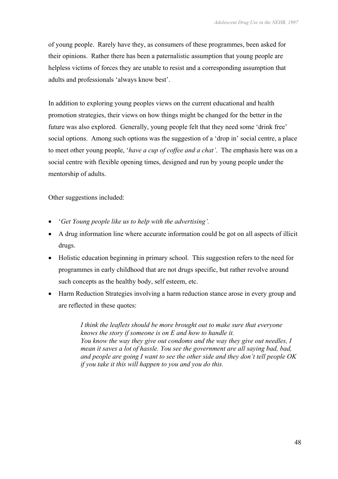of young people. Rarely have they, as consumers of these programmes, been asked for their opinions. Rather there has been a paternalistic assumption that young people are helpless victims of forces they are unable to resist and a corresponding assumption that adults and professionals 'always know best'.

In addition to exploring young peoples views on the current educational and health promotion strategies, their views on how things might be changed for the better in the future was also explored. Generally, young people felt that they need some 'drink free' social options. Among such options was the suggestion of a 'drop in' social centre, a place to meet other young people, '*have a cup of coffee and a chat'*. The emphasis here was on a social centre with flexible opening times, designed and run by young people under the mentorship of adults.

Other suggestions included:

- '*Get Young people like us to help with the advertising'.*
- A drug information line where accurate information could be got on all aspects of illicit drugs.
- Holistic education beginning in primary school. This suggestion refers to the need for programmes in early childhood that are not drugs specific, but rather revolve around such concepts as the healthy body, self esteem, etc.
- Harm Reduction Strategies involving a harm reduction stance arose in every group and are reflected in these quotes:

*I think the leaflets should be more brought out to make sure that everyone knows the story if someone is on E and how to handle it. You know the way they give out condoms and the way they give out needles, I mean it saves a lot of hassle. You see the government are all saying bad, bad, and people are going I want to see the other side and they don't tell people OK if you take it this will happen to you and you do this.*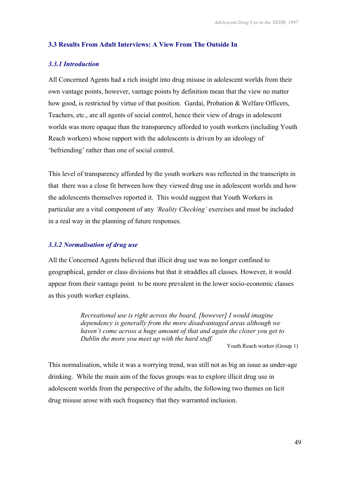### **3.3 Results From Adult Interviews: A View From The Outside In**

#### *3.3.1 Introduction*

All Concerned Agents had a rich insight into drug misuse in adolescent worlds from their own vantage points, however, vantage points by definition mean that the view no matter how good, is restricted by virtue of that position. Gardaí, Probation & Welfare Officers, Teachers, etc., are all agents of social control, hence their view of drugs in adolescent worlds was more opaque than the transparency afforded to youth workers (including Youth Reach workers) whose rapport with the adolescents is driven by an ideology of 'befriending' rather than one of social control.

This level of transparency afforded by the youth workers was reflected in the transcripts in that there was a close fit between how they viewed drug use in adolescent worlds and how the adolescents themselves reported it. This would suggest that Youth Workers in particular are a vital component of any *'Reality Checking'* exercises and must be included in a real way in the planning of future responses.

#### *3.3.2 Normalisation of drug use*

All the Concerned Agents believed that illicit drug use was no longer confined to geographical, gender or class divisions but that it straddles all classes. However, it would appear from their vantage point to be more prevalent in the lower socio-economic classes as this youth worker explains.

> *Recreational use is right across the board, [however] I would imagine dependency is generally from the more disadvantaged areas although we haven't come across a huge amount of that and again the closer you get to Dublin the more you meet up with the hard stuff.*

Youth Reach worker (Group 1)

This normalisation, while it was a worrying trend, was still not as big an issue as under-age drinking. While the main aim of the focus groups was to explore illicit drug use in adolescent worlds from the perspective of the adults, the following two themes on licit drug misuse arose with such frequency that they warranted inclusion.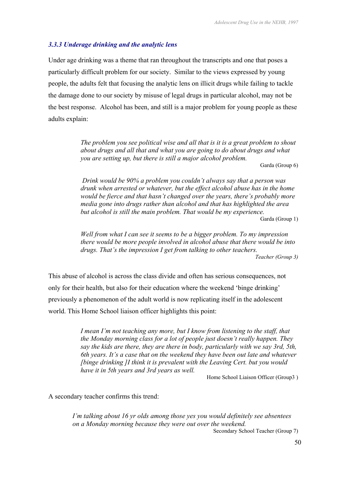#### *3.3.3 Underage drinking and the analytic lens*

Under age drinking was a theme that ran throughout the transcripts and one that poses a particularly difficult problem for our society. Similar to the views expressed by young people, the adults felt that focusing the analytic lens on illicit drugs while failing to tackle the damage done to our society by misuse of legal drugs in particular alcohol, may not be the best response. Alcohol has been, and still is a major problem for young people as these adults explain:

> *The problem you see political wise and all that is it is a great problem to shout about drugs and all that and what you are going to do about drugs and what you are setting up, but there is still a major alcohol problem.*

Garda (Group 6)

*Drink would be 90% a problem you couldn't always say that a person was drunk when arrested or whatever, but the effect alcohol abuse has in the home would be fierce and that hasn't changed over the years, there's probably more media gone into drugs rather than alcohol and that has highlighted the area but alcohol is still the main problem. That would be my experience.*  Garda (Group 1)

*Well from what I can see it seems to be a bigger problem. To my impression there would be more people involved in alcohol abuse that there would be into drugs. That's the impression I get from talking to other teachers. Teacher (Group 3)*

This abuse of alcohol is across the class divide and often has serious consequences, not only for their health, but also for their education where the weekend 'binge drinking' previously a phenomenon of the adult world is now replicating itself in the adolescent world. This Home School liaison officer highlights this point:

> *I mean I'm not teaching any more, but I know from listening to the staff, that the Monday morning class for a lot of people just doesn't really happen. They say the kids are there, they are there in body, particularly with we say 3rd, 5th, 6th years. It's a case that on the weekend they have been out late and whatever [binge drinking ]I think it is prevalent with the Leaving Cert. but you would have it in 5th years and 3rd years as well.*

> > Home School Liaison Officer (Group3 )

A secondary teacher confirms this trend:

*I'm talking about 16 yr olds among those yes you would definitely see absentees on a Monday morning because they were out over the weekend.*  Secondary School Teacher (Group 7)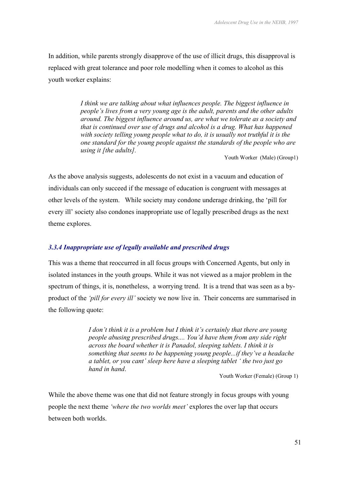In addition, while parents strongly disapprove of the use of illicit drugs, this disapproval is replaced with great tolerance and poor role modelling when it comes to alcohol as this youth worker explains:

> *I think we are talking about what influences people. The biggest influence in people's lives from a very young age is the adult, parents and the other adults around. The biggest influence around us, are what we tolerate as a society and that is continued over use of drugs and alcohol is a drug. What has happened with society telling young people what to do, it is usually not truthful it is the one standard for the young people against the standards of the people who are using it [the adults].*

> > Youth Worker (Male) (Group1)

As the above analysis suggests, adolescents do not exist in a vacuum and education of individuals can only succeed if the message of education is congruent with messages at other levels of the system. While society may condone underage drinking, the 'pill for every ill' society also condones inappropriate use of legally prescribed drugs as the next theme explores.

#### *3.3.4 Inappropriate use of legally available and prescribed drugs*

This was a theme that reoccurred in all focus groups with Concerned Agents, but only in isolated instances in the youth groups. While it was not viewed as a major problem in the spectrum of things, it is, nonetheless, a worrying trend. It is a trend that was seen as a byproduct of the *'pill for every ill'* society we now live in. Their concerns are summarised in the following quote:

> *I don't think it is a problem but I think it's certainly that there are young people abusing prescribed drugs.... You'd have them from any side right across the board whether it is Panadol, sleeping tablets. I think it is something that seems to be happening young people...if they've a headache a tablet, or you cant' sleep here have a sleeping tablet ' the two just go hand in hand*.<br>Youth Worker (Female) (Group 1)

While the above theme was one that did not feature strongly in focus groups with young people the next theme *'where the two worlds meet'* explores the over lap that occurs between both worlds.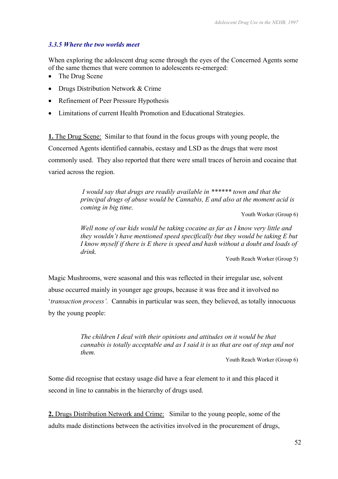#### *3.3.5 Where the two worlds meet*

When exploring the adolescent drug scene through the eyes of the Concerned Agents some of the same themes that were common to adolescents re-emerged:

- The Drug Scene
- Drugs Distribution Network & Crime
- Refinement of Peer Pressure Hypothesis
- Limitations of current Health Promotion and Educational Strategies.

**1.** The Drug Scene: Similar to that found in the focus groups with young people, the Concerned Agents identified cannabis, ecstasy and LSD as the drugs that were most commonly used. They also reported that there were small traces of heroin and cocaine that varied across the region.

> *I would say that drugs are readily available in \*\*\*\*\*\* town and that the principal drugs of abuse would be Cannabis, E and also at the moment acid is coming in big time.*

> > Youth Worker (Group 6)

*Well none of our kids would be taking cocaine as far as I know very little and they wouldn't have mentioned speed specifically but they would be taking E but I know myself if there is E there is speed and hash without a doubt and loads of drink.* 

Youth Reach Worker (Group 5)

Magic Mushrooms, were seasonal and this was reflected in their irregular use, solvent abuse occurred mainly in younger age groups, because it was free and it involved no '*transaction process'.* Cannabis in particular was seen, they believed, as totally innocuous by the young people:

> *The children I deal with their opinions and attitudes on it would be that cannabis is totally acceptable and as I said it is us that are out of step and not them.*

> > Youth Reach Worker (Group 6)

Some did recognise that ecstasy usage did have a fear element to it and this placed it second in line to cannabis in the hierarchy of drugs used.

**2.** Drugs Distribution Network and Crime: Similar to the young people, some of the adults made distinctions between the activities involved in the procurement of drugs,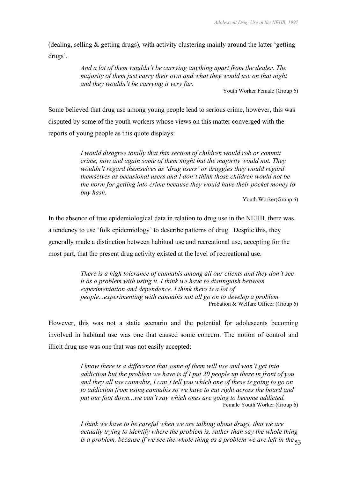(dealing, selling & getting drugs), with activity clustering mainly around the latter 'getting drugs'.

> *And a lot of them wouldn't be carrying anything apart from the dealer. The majority of them just carry their own and what they would use on that night and they wouldn't be carrying it very far.*

Youth Worker Female (Group 6)

Some believed that drug use among young people lead to serious crime, however, this was disputed by some of the youth workers whose views on this matter converged with the reports of young people as this quote displays:

> *I would disagree totally that this section of children would rob or commit crime, now and again some of them might but the majority would not. They wouldn't regard themselves as 'drug users' or druggies they would regard themselves as occasional users and I don't think those children would not be the norm for getting into crime because they would have their pocket money to buy hash.*

> > Youth Worker(Group 6)

In the absence of true epidemiological data in relation to drug use in the NEHB, there was a tendency to use 'folk epidemiology' to describe patterns of drug. Despite this, they generally made a distinction between habitual use and recreational use, accepting for the most part, that the present drug activity existed at the level of recreational use.

> *There is a high tolerance of cannabis among all our clients and they don't see it as a problem with using it. I think we have to distinguish between experimentation and dependence. I think there is a lot of people...experimenting with cannabis not all go on to develop a problem.*  Probation & Welfare Officer (Group 6)

However, this was not a static scenario and the potential for adolescents becoming involved in habitual use was one that caused some concern. The notion of control and illicit drug use was one that was not easily accepted:

> *I know there is a difference that some of them will use and won't get into addiction but the problem we have is if I put 20 people up there in front of you and they all use cannabis, I can't tell you which one of these is going to go on to addiction from using cannabis so we have to cut right across the board and put our foot down...we can't say which ones are going to become addicted.*  Female Youth Worker (Group 6)

> is a problem, because if we see the whole thing as a problem we are left in the <sub>53</sub> *I think we have to be careful when we are talking about drugs, that we are actually trying to identify where the problem is, rather than say the whole thing*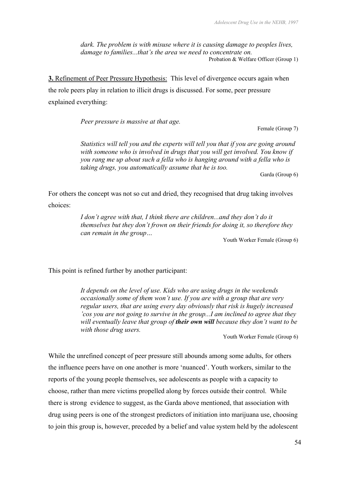*dark. The problem is with misuse where it is causing damage to peoples lives, damage to families...that's the area we need to concentrate on.*  Probation & Welfare Officer (Group 1)

**3.** Refinement of Peer Pressure Hypothesis: This level of divergence occurs again when the role peers play in relation to illicit drugs is discussed. For some, peer pressure explained everything:

*Peer pressure is massive at that age.* 

Female (Group 7)

*Statistics will tell you and the experts will tell you that if you are going around with someone who is involved in drugs that you will get involved. You know if you rang me up about such a fella who is hanging around with a fella who is taking drugs, you automatically assume that he is too.* 

Garda (Group 6)

For others the concept was not so cut and dried, they recognised that drug taking involves choices:

> *I don't agree with that, I think there are children...and they don't do it themselves but they don't frown on their friends for doing it, so therefore they can remain in the group…*

Youth Worker Female (Group 6)

This point is refined further by another participant:

*It depends on the level of use. Kids who are using drugs in the weekends occasionally some of them won't use. If you are with a group that are very regular users, that are using every day obviously that risk is hugely increased 'cos you are not going to survive in the group...I am inclined to agree that they will eventually leave that group of their own will because they don't want to be with those drug users.* 

Youth Worker Female (Group 6)

While the unrefined concept of peer pressure still abounds among some adults, for others the influence peers have on one another is more 'nuanced'. Youth workers, similar to the reports of the young people themselves, see adolescents as people with a capacity to choose, rather than mere victims propelled along by forces outside their control. While there is strong evidence to suggest, as the Garda above mentioned, that association with drug using peers is one of the strongest predictors of initiation into marijuana use, choosing to join this group is, however, preceded by a belief and value system held by the adolescent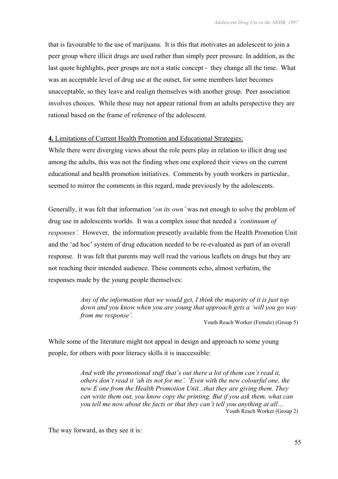that is favourable to the use of marijuana. It is this that motivates an adolescent to join a peer group where illicit drugs are used rather than simply peer pressure. In addition, as the last quote highlights, peer groups are not a static concept - they change all the time. What was an acceptable level of drug use at the outset, for some members later becomes unacceptable, so they leave and realign themselves with another group. Peer association involves choices. While these may not appear rational from an adults perspective they are rational based on the frame of reference of the adolescent.

#### **4.** Limitations of Current Health Promotion and Educational Strategies:

While there were diverging views about the role peers play in relation to illicit drug use among the adults, this was not the finding when one explored their views on the current educational and health promotion initiatives. Comments by youth workers in particular, seemed to mirror the comments in this regard, made previously by the adolescents.

Generally, it was felt that information '*on its own'* was not enough to solve the problem of drug use in adolescents worlds. It was a complex issue that needed a *'continuum of responses'.* However, the information presently available from the Health Promotion Unit and the 'ad hoc' system of drug education needed to be re-evaluated as part of an overall response. It was felt that parents may well read the various leaflets on drugs but they are not reaching their intended audience. These comments echo, almost verbatim, the responses made by the young people themselves:

> *Any of the information that we would get, I think the majority of it is just top down and you know when you are young that approach gets a 'will you go way from me response'.*

Youth Reach Worker (Female) (Group 5)

While some of the literature might not appeal in design and approach to some young people, for others with poor literacy skills it is inaccessible:

> *And with the promotional stuff that's out there a lot of them can't read it, others don't read it 'ah its not for me'. 'Even with the new colourful one, the new E one from the Health Promotion Unit...that they are giving them. They can write them out, you know copy the printing. But if you ask them, what can you tell me now about the facts or that they can't tell you anything at all…*  Youth Reach Worker (Group 2)

The way forward, as they see it is: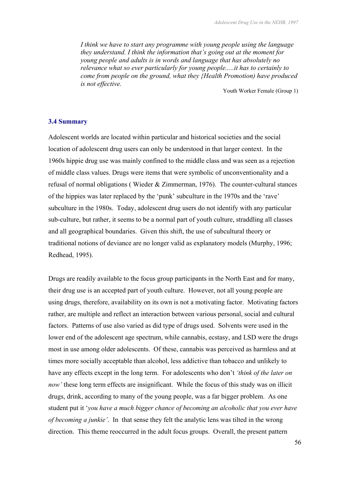*I think we have to start any programme with young people using the language they understand. I think the information that's going out at the moment for young people and adults is in words and language that has absolutely no relevance what so ever particularly for young people.....it has to certainly to come from people on the ground, what they {Health Promotion) have produced is not effective.* 

Youth Worker Female (Group 1)

#### **3.4 Summary**

Adolescent worlds are located within particular and historical societies and the social location of adolescent drug users can only be understood in that larger context. In the 1960s hippie drug use was mainly confined to the middle class and was seen as a rejection of middle class values. Drugs were items that were symbolic of unconventionality and a refusal of normal obligations ( Wieder & Zimmerman, 1976). The counter-cultural stances of the hippies was later replaced by the 'punk' subculture in the 1970s and the 'rave' subculture in the 1980s. Today, adolescent drug users do not identify with any particular sub-culture, but rather, it seems to be a normal part of youth culture, straddling all classes and all geographical boundaries. Given this shift, the use of subcultural theory or traditional notions of deviance are no longer valid as explanatory models (Murphy, 1996; Redhead, 1995).

Drugs are readily available to the focus group participants in the North East and for many, their drug use is an accepted part of youth culture. However, not all young people are using drugs, therefore, availability on its own is not a motivating factor. Motivating factors rather, are multiple and reflect an interaction between various personal, social and cultural factors. Patterns of use also varied as did type of drugs used. Solvents were used in the lower end of the adolescent age spectrum, while cannabis, ecstasy, and LSD were the drugs most in use among older adolescents. Of these, cannabis was perceived as harmless and at times more socially acceptable than alcohol, less addictive than tobacco and unlikely to have any effects except in the long term. For adolescents who don't *'think of the later on now'* these long term effects are insignificant. While the focus of this study was on illicit drugs, drink, according to many of the young people, was a far bigger problem. As one student put it '*you have a much bigger chance of becoming an alcoholic that you ever have of becoming a junkie'*. In that sense they felt the analytic lens was tilted in the wrong direction. This theme reoccurred in the adult focus groups. Overall, the present pattern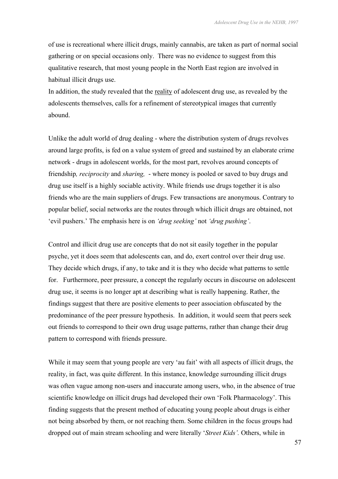of use is recreational where illicit drugs, mainly cannabis, are taken as part of normal social gathering or on special occasions only. There was no evidence to suggest from this qualitative research, that most young people in the North East region are involved in habitual illicit drugs use.

In addition, the study revealed that the reality of adolescent drug use, as revealed by the adolescents themselves, calls for a refinement of stereotypical images that currently abound.

Unlike the adult world of drug dealing - where the distribution system of drugs revolves around large profits, is fed on a value system of greed and sustained by an elaborate crime network - drugs in adolescent worlds, for the most part, revolves around concepts of friendship*, reciprocity* and *sharing,* - where money is pooled or saved to buy drugs and drug use itself is a highly sociable activity. While friends use drugs together it is also friends who are the main suppliers of drugs. Few transactions are anonymous. Contrary to popular belief, social networks are the routes through which illicit drugs are obtained, not 'evil pushers.' The emphasis here is on *'drug seeking'* not *'drug pushing'*.

Control and illicit drug use are concepts that do not sit easily together in the popular psyche, yet it does seem that adolescents can, and do, exert control over their drug use. They decide which drugs, if any, to take and it is they who decide what patterns to settle for. Furthermore, peer pressure, a concept the regularly occurs in discourse on adolescent drug use, it seems is no longer apt at describing what is really happening. Rather, the findings suggest that there are positive elements to peer association obfuscated by the predominance of the peer pressure hypothesis. In addition, it would seem that peers seek out friends to correspond to their own drug usage patterns, rather than change their drug pattern to correspond with friends pressure.

While it may seem that young people are very 'au fait' with all aspects of illicit drugs, the reality, in fact, was quite different. In this instance, knowledge surrounding illicit drugs was often vague among non-users and inaccurate among users, who, in the absence of true scientific knowledge on illicit drugs had developed their own 'Folk Pharmacology'. This finding suggests that the present method of educating young people about drugs is either not being absorbed by them, or not reaching them. Some children in the focus groups had dropped out of main stream schooling and were literally '*Street Kids'.* Others, while in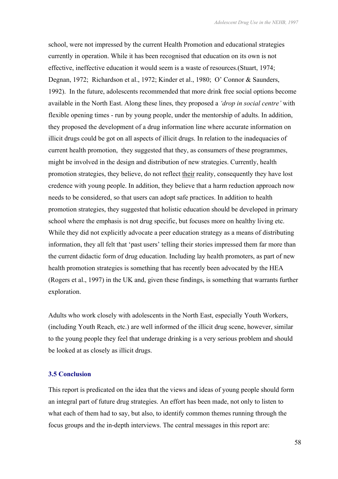school, were not impressed by the current Health Promotion and educational strategies currently in operation. While it has been recognised that education on its own is not effective, ineffective education it would seem is a waste of resources.(Stuart, 1974; Degnan, 1972; Richardson et al., 1972; Kinder et al., 1980; O' Connor & Saunders, 1992). In the future, adolescents recommended that more drink free social options become available in the North East. Along these lines, they proposed a *'drop in social centre'* with flexible opening times - run by young people, under the mentorship of adults. In addition, they proposed the development of a drug information line where accurate information on illicit drugs could be got on all aspects of illicit drugs. In relation to the inadequacies of current health promotion, they suggested that they, as consumers of these programmes, might be involved in the design and distribution of new strategies. Currently, health promotion strategies, they believe, do not reflect their reality, consequently they have lost credence with young people. In addition, they believe that a harm reduction approach now needs to be considered, so that users can adopt safe practices. In addition to health promotion strategies, they suggested that holistic education should be developed in primary school where the emphasis is not drug specific, but focuses more on healthy living etc. While they did not explicitly advocate a peer education strategy as a means of distributing information, they all felt that 'past users' telling their stories impressed them far more than the current didactic form of drug education. Including lay health promoters, as part of new health promotion strategies is something that has recently been advocated by the HEA (Rogers et al., 1997) in the UK and, given these findings, is something that warrants further exploration.

Adults who work closely with adolescents in the North East, especially Youth Workers, (including Youth Reach, etc.) are well informed of the illicit drug scene, however, similar to the young people they feel that underage drinking is a very serious problem and should be looked at as closely as illicit drugs.

#### **3.5 Conclusion**

This report is predicated on the idea that the views and ideas of young people should form an integral part of future drug strategies. An effort has been made, not only to listen to what each of them had to say, but also, to identify common themes running through the focus groups and the in-depth interviews. The central messages in this report are: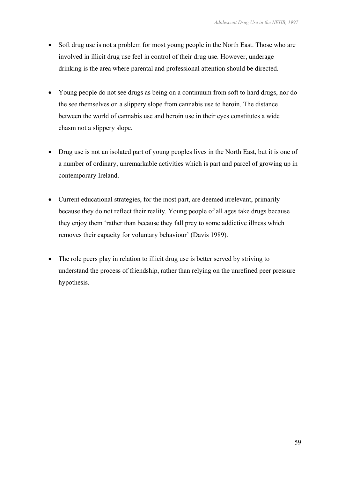- Soft drug use is not a problem for most young people in the North East. Those who are involved in illicit drug use feel in control of their drug use. However, underage drinking is the area where parental and professional attention should be directed.
- Young people do not see drugs as being on a continuum from soft to hard drugs, nor do the see themselves on a slippery slope from cannabis use to heroin. The distance between the world of cannabis use and heroin use in their eyes constitutes a wide chasm not a slippery slope.
- Drug use is not an isolated part of young peoples lives in the North East, but it is one of a number of ordinary, unremarkable activities which is part and parcel of growing up in contemporary Ireland.
- Current educational strategies, for the most part, are deemed irrelevant, primarily because they do not reflect their reality. Young people of all ages take drugs because they enjoy them 'rather than because they fall prey to some addictive illness which removes their capacity for voluntary behaviour' (Davis 1989).
- The role peers play in relation to illicit drug use is better served by striving to understand the process of friendship, rather than relying on the unrefined peer pressure hypothesis.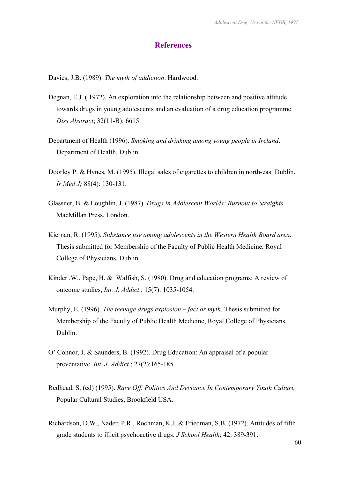#### **References**

Davies, J.B. (1989). *The myth of addiction*. Hardwood.

- Degnan, E.J. ( 1972). An exploration into the relationship between and positive attitude towards drugs in young adolescents and an evaluation of a drug education programme. *Diss Abstract*; 32(11-B): 6615.
- Department of Health (1996). *Smoking and drinking among young people in Ireland*. Department of Health, Dublin.
- Doorley P. & Hynes, M. (1995). Illegal sales of cigarettes to children in north-east Dublin. *Ir Med J;* 88(4): 130-131.
- Glassner, B. & Loughlin, J. (1987). *Drugs in Adolescent Worlds: Burnout to Straights.* MacMillan Press, London.
- Kiernan, R. (1995). *Substance use among adolescents in the Western Health Board area*. Thesis submitted for Membership of the Faculty of Public Health Medicine, Royal College of Physicians, Dublin.
- Kinder ,W., Pape, H. & Walfish, S. (1980). Drug and education programs: A review of outcome studies, *Int. J. Addict*.; 15(7): 1035-1054.
- Murphy, E. (1996). *The teenage drugs explosion fact or myth.* Thesis submitted for Membership of the Faculty of Public Health Medicine, Royal College of Physicians, Dublin.
- O' Connor, J. & Saunders, B. (1992). Drug Education: An appraisal of a popular preventative. *Int. J. Addict*.; 27(2):165-185.
- Redhead, S. (ed) (1995). *Rave Off. Politics And Deviance In Contemporary Youth Culture.* Popular Cultural Studies, Brookfield USA.
- Richardson, D.W., Nader, P.R., Rochman, K.J. & Friedman, S.B. (1972). Attitudes of fifth grade students to illicit psychoactive drugs. *J School Health*; 42: 389-391.

60